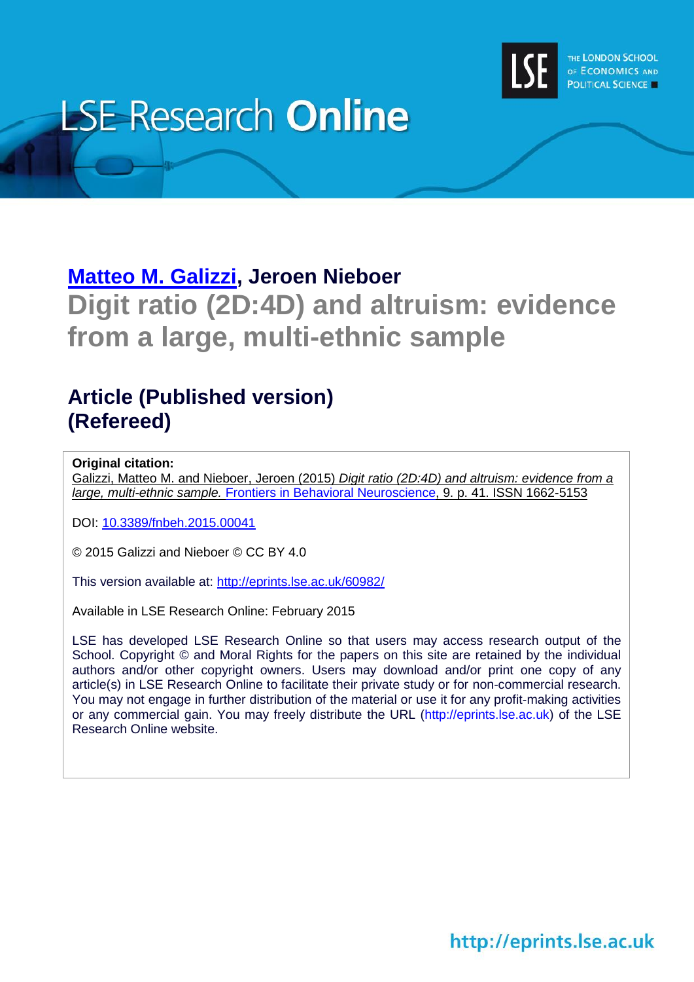

# **LSE Research Online**

# **[Matteo M. Galizzi,](http://www.lse.ac.uk/researchAndExpertise/Experts/profile.aspx?KeyValue=m.m.galizzi@lse.ac.uk) Jeroen Nieboer Digit ratio (2D:4D) and altruism: evidence from a large, multi-ethnic sample**

## **Article (Published version) (Refereed)**

#### **Original citation:**

Galizzi, Matteo M. and Nieboer, Jeroen (2015) *Digit ratio (2D:4D) and altruism: evidence from a large, multi-ethnic sample.* Frontiers [in Behavioral Neuroscience,](http://www.frontiersin.org/Behavioral_Neuroscience) 9. p. 41. ISSN 1662-5153

DOI: [10.3389/fnbeh.2015.00041](http://dx.doi.org/10.3389/fnbeh.2015.00041)

© 2015 Galizzi and Nieboer © CC BY 4.0

This version available at:<http://eprints.lse.ac.uk/60982/>

Available in LSE Research Online: February 2015

LSE has developed LSE Research Online so that users may access research output of the School. Copyright © and Moral Rights for the papers on this site are retained by the individual authors and/or other copyright owners. Users may download and/or print one copy of any article(s) in LSE Research Online to facilitate their private study or for non-commercial research. You may not engage in further distribution of the material or use it for any profit-making activities or any commercial gain. You may freely distribute the URL (http://eprints.lse.ac.uk) of the LSE Research Online website.

# http://eprints.lse.ac.uk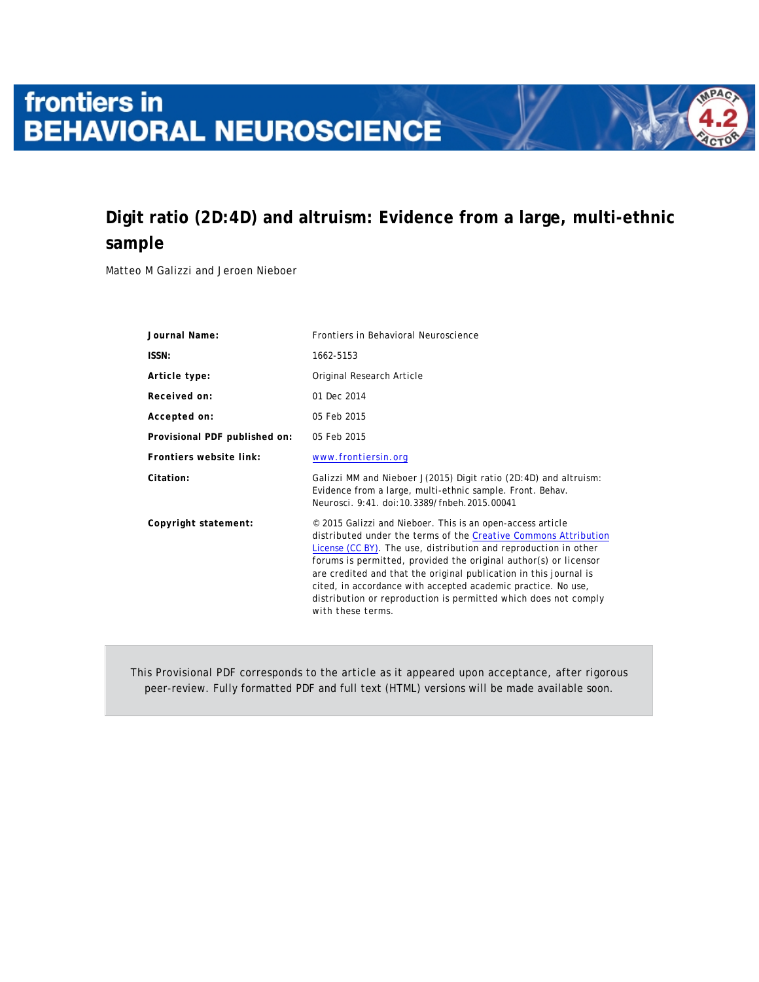# frontiers in **BEHAVIORAL NEUROSCIENCE**

### **Digit ratio (2D:4D) and altruism: Evidence from a large, multi-ethnic sample**

Matteo M Galizzi and Jeroen Nieboer

| Journal Name:                 | Frontiers in Behavioral Neuroscience                                                                                                                                                                                                                                                                                                                                                                                                                                                                |
|-------------------------------|-----------------------------------------------------------------------------------------------------------------------------------------------------------------------------------------------------------------------------------------------------------------------------------------------------------------------------------------------------------------------------------------------------------------------------------------------------------------------------------------------------|
| ISSN:                         | 1662-5153                                                                                                                                                                                                                                                                                                                                                                                                                                                                                           |
| Article type:                 | Original Research Article                                                                                                                                                                                                                                                                                                                                                                                                                                                                           |
| Received on:                  | 01 Dec 2014                                                                                                                                                                                                                                                                                                                                                                                                                                                                                         |
| Accepted on:                  | 05 Feb 2015                                                                                                                                                                                                                                                                                                                                                                                                                                                                                         |
| Provisional PDF published on: | 05 Feb 2015                                                                                                                                                                                                                                                                                                                                                                                                                                                                                         |
| Frontiers website link:       | www.frontiersin.org                                                                                                                                                                                                                                                                                                                                                                                                                                                                                 |
| Citation:                     | Galizzi MM and Nieboer J(2015) Digit ratio (2D:4D) and altruism:<br>Evidence from a large, multi-ethnic sample. Front. Behav.<br>Neurosci. 9:41. doi:10.3389/fnbeh.2015.00041                                                                                                                                                                                                                                                                                                                       |
| Copyright statement:          | © 2015 Galizzi and Nieboer. This is an open-access article<br>distributed under the terms of the Creative Commons Attribution<br>License (CC BY). The use, distribution and reproduction in other<br>forums is permitted, provided the original author(s) or licensor<br>are credited and that the original publication in this journal is<br>cited, in accordance with accepted academic practice. No use,<br>distribution or reproduction is permitted which does not comply<br>with these terms. |

This Provisional PDF corresponds to the article as it appeared upon acceptance, after rigorous peer-review. Fully formatted PDF and full text (HTML) versions will be made available soon.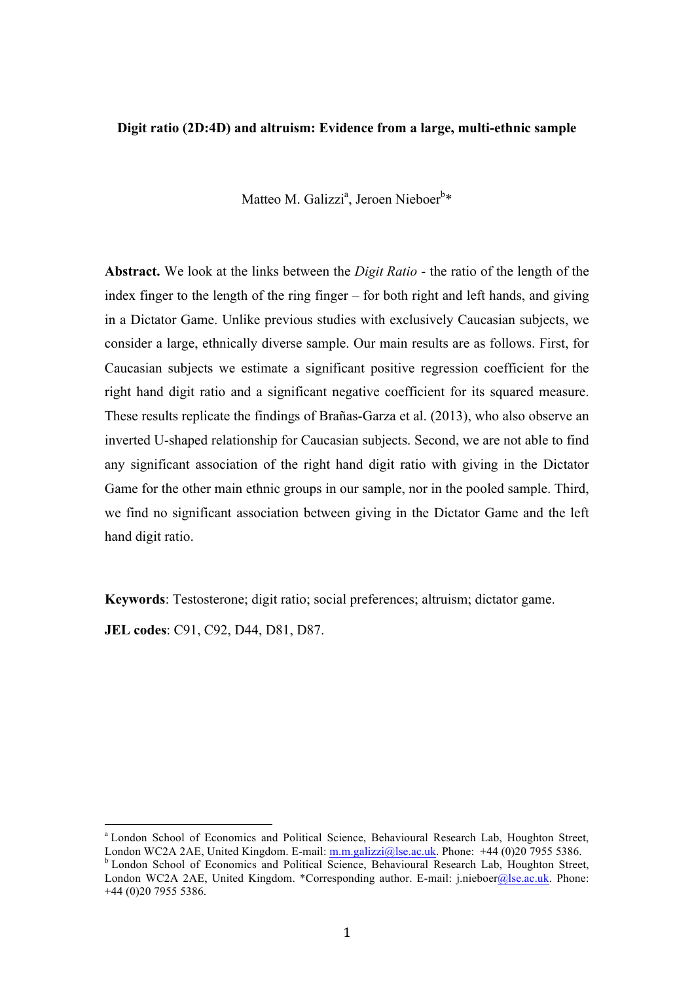#### **Digit ratio (2D:4D) and altruism: Evidence from a large, multi-ethnic sample**

Matteo M. Galizzi<sup>a</sup>, Jeroen Nieboer<sup>b</sup>\*

**Abstract.** We look at the links between the *Digit Ratio* - the ratio of the length of the index finger to the length of the ring finger – for both right and left hands, and giving in a Dictator Game. Unlike previous studies with exclusively Caucasian subjects, we consider a large, ethnically diverse sample. Our main results are as follows. First, for Caucasian subjects we estimate a significant positive regression coefficient for the right hand digit ratio and a significant negative coefficient for its squared measure. These results replicate the findings of Brañas-Garza et al. (2013), who also observe an inverted U-shaped relationship for Caucasian subjects. Second, we are not able to find any significant association of the right hand digit ratio with giving in the Dictator Game for the other main ethnic groups in our sample, nor in the pooled sample. Third, we find no significant association between giving in the Dictator Game and the left hand digit ratio.

**Keywords**: Testosterone; digit ratio; social preferences; altruism; dictator game.

**JEL codes**: C91, C92, D44, D81, D87.

<sup>&</sup>lt;sup>a</sup> London School of Economics and Political Science, Behavioural Research Lab, Houghton Street, London WC2A 2AE, United Kingdom. E-mail: m.m.galizzi@lse.ac.uk. Phone: +44 (0)20 7955 5386. **b** London School of Economics and Political Science, Behavioural Research Lab, Houghton Street, London WC2A 2AE, United Kingdom. \*Corresponding author. E-mail: j.nieboer@lse.ac.uk. Phone:

<sup>+44 (0)20 7955 5386.</sup>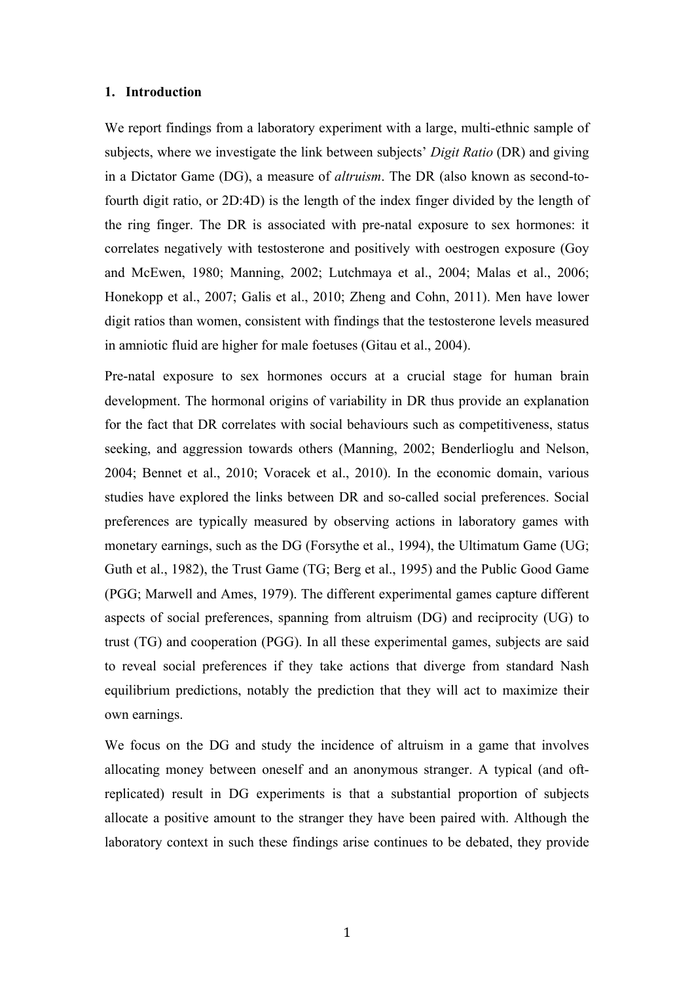#### **1. Introduction**

We report findings from a laboratory experiment with a large, multi-ethnic sample of subjects, where we investigate the link between subjects' *Digit Ratio* (DR) and giving in a Dictator Game (DG), a measure of *altruism*. The DR (also known as second-tofourth digit ratio, or 2D:4D) is the length of the index finger divided by the length of the ring finger. The DR is associated with pre-natal exposure to sex hormones: it correlates negatively with testosterone and positively with oestrogen exposure (Goy and McEwen, 1980; Manning, 2002; Lutchmaya et al., 2004; Malas et al., 2006; Honekopp et al., 2007; Galis et al., 2010; Zheng and Cohn, 2011). Men have lower digit ratios than women, consistent with findings that the testosterone levels measured in amniotic fluid are higher for male foetuses (Gitau et al., 2004).

Pre-natal exposure to sex hormones occurs at a crucial stage for human brain development. The hormonal origins of variability in DR thus provide an explanation for the fact that DR correlates with social behaviours such as competitiveness, status seeking, and aggression towards others (Manning, 2002; Benderlioglu and Nelson, 2004; Bennet et al., 2010; Voracek et al., 2010). In the economic domain, various studies have explored the links between DR and so-called social preferences. Social preferences are typically measured by observing actions in laboratory games with monetary earnings, such as the DG (Forsythe et al., 1994), the Ultimatum Game (UG; Guth et al., 1982), the Trust Game (TG; Berg et al., 1995) and the Public Good Game (PGG; Marwell and Ames, 1979). The different experimental games capture different aspects of social preferences, spanning from altruism (DG) and reciprocity (UG) to trust (TG) and cooperation (PGG). In all these experimental games, subjects are said to reveal social preferences if they take actions that diverge from standard Nash equilibrium predictions, notably the prediction that they will act to maximize their own earnings.

We focus on the DG and study the incidence of altruism in a game that involves allocating money between oneself and an anonymous stranger. A typical (and oftreplicated) result in DG experiments is that a substantial proportion of subjects allocate a positive amount to the stranger they have been paired with. Although the laboratory context in such these findings arise continues to be debated, they provide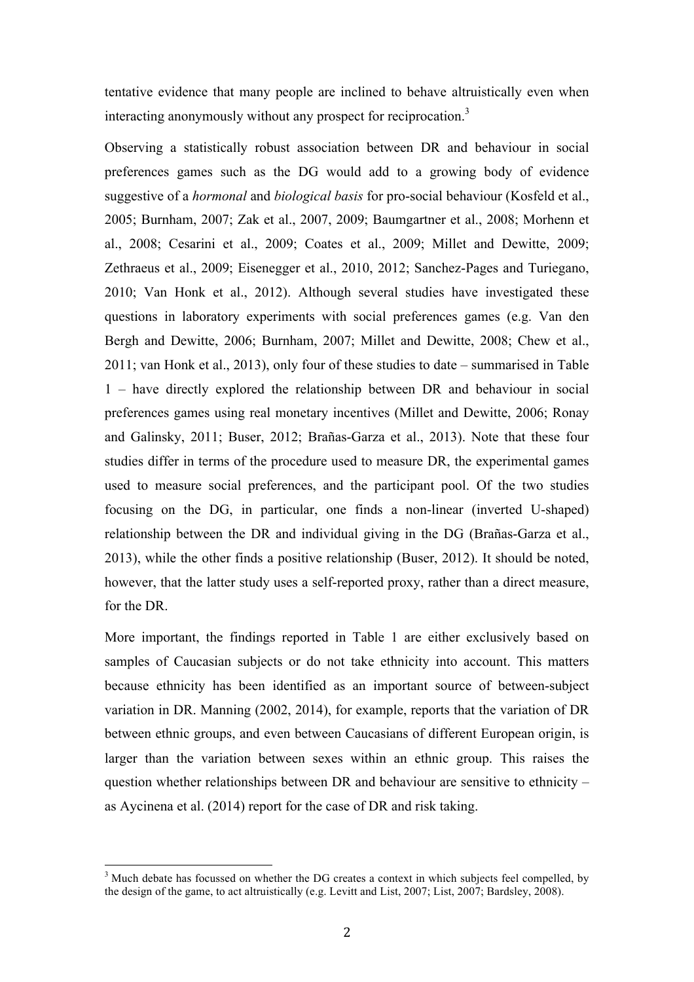tentative evidence that many people are inclined to behave altruistically even when interacting anonymously without any prospect for reciprocation.<sup>3</sup>

Observing a statistically robust association between DR and behaviour in social preferences games such as the DG would add to a growing body of evidence suggestive of a *hormonal* and *biological basis* for pro-social behaviour (Kosfeld et al., 2005; Burnham, 2007; Zak et al., 2007, 2009; Baumgartner et al., 2008; Morhenn et al., 2008; Cesarini et al., 2009; Coates et al., 2009; Millet and Dewitte, 2009; Zethraeus et al., 2009; Eisenegger et al., 2010, 2012; Sanchez-Pages and Turiegano, 2010; Van Honk et al., 2012). Although several studies have investigated these questions in laboratory experiments with social preferences games (e.g. Van den Bergh and Dewitte, 2006; Burnham, 2007; Millet and Dewitte, 2008; Chew et al., 2011; van Honk et al., 2013), only four of these studies to date – summarised in Table 1 – have directly explored the relationship between DR and behaviour in social preferences games using real monetary incentives (Millet and Dewitte, 2006; Ronay and Galinsky, 2011; Buser, 2012; Brañas-Garza et al., 2013). Note that these four studies differ in terms of the procedure used to measure DR, the experimental games used to measure social preferences, and the participant pool. Of the two studies focusing on the DG, in particular, one finds a non-linear (inverted U-shaped) relationship between the DR and individual giving in the DG (Brañas-Garza et al., 2013), while the other finds a positive relationship (Buser, 2012). It should be noted, however, that the latter study uses a self-reported proxy, rather than a direct measure, for the DR.

More important, the findings reported in Table 1 are either exclusively based on samples of Caucasian subjects or do not take ethnicity into account. This matters because ethnicity has been identified as an important source of between-subject variation in DR. Manning (2002, 2014), for example, reports that the variation of DR between ethnic groups, and even between Caucasians of different European origin, is larger than the variation between sexes within an ethnic group. This raises the question whether relationships between DR and behaviour are sensitive to ethnicity – as Aycinena et al. (2014) report for the case of DR and risk taking.

<sup>&</sup>lt;sup>3</sup> Much debate has focussed on whether the DG creates a context in which subjects feel compelled, by the design of the game, to act altruistically (e.g. Levitt and List, 2007; List, 2007; Bardsley, 2008).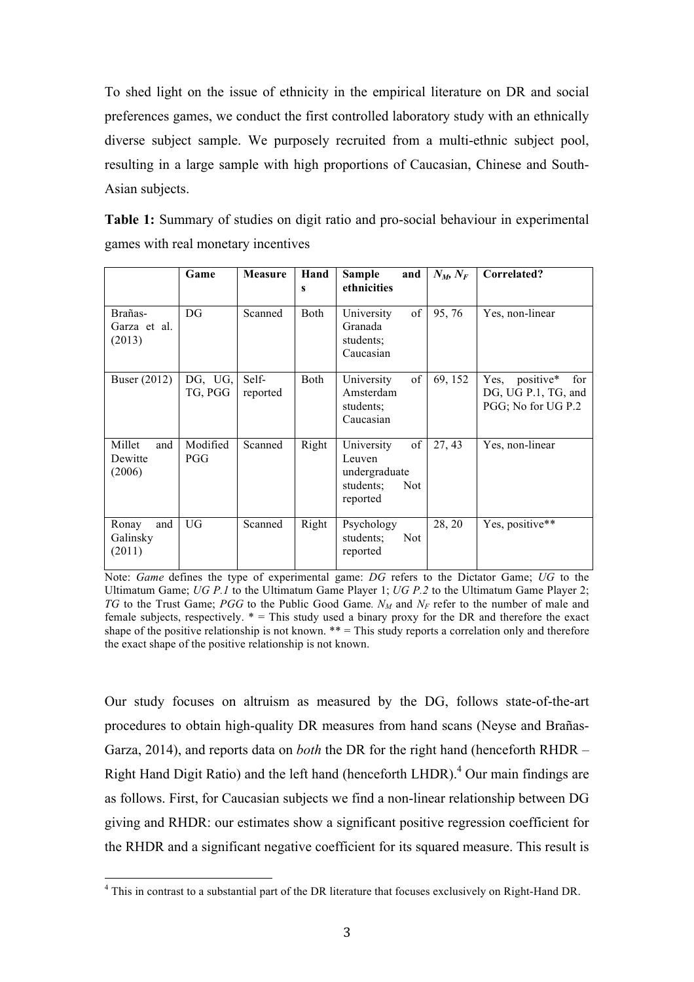To shed light on the issue of ethnicity in the empirical literature on DR and social preferences games, we conduct the first controlled laboratory study with an ethnically diverse subject sample. We purposely recruited from a multi-ethnic subject pool, resulting in a large sample with high proportions of Caucasian, Chinese and South-Asian subjects.

**Table 1:** Summary of studies on digit ratio and pro-social behaviour in experimental games with real monetary incentives

|                                    | Game               | <b>Measure</b>    | Hand<br>$\mathbf{s}$ | <b>Sample</b><br>and<br>ethnicities                                                | $N_M, N_F$ | Correlated?                                                           |
|------------------------------------|--------------------|-------------------|----------------------|------------------------------------------------------------------------------------|------------|-----------------------------------------------------------------------|
| Brañas-<br>Garza et al.<br>(2013)  | DG                 | Scanned           | <b>Both</b>          | of<br>University<br>Granada<br>students;<br>Caucasian                              | 95,76      | Yes, non-linear                                                       |
| Buser (2012)                       | DG, UG,<br>TG, PGG | Self-<br>reported | Both                 | of<br>University<br>Amsterdam<br>students:<br>Caucasian                            | 69, 152    | positive*<br>Yes,<br>for<br>DG, UG P.1, TG, and<br>PGG; No for UG P.2 |
| Millet<br>and<br>Dewitte<br>(2006) | Modified<br>PGG    | Scanned           | Right                | of<br>University<br>Leuven<br>undergraduate<br>students;<br><b>Not</b><br>reported | 27, 43     | Yes, non-linear                                                       |
| and<br>Ronay<br>Galinsky<br>(2011) | UG                 | Scanned           | Right                | Psychology<br>students;<br><b>Not</b><br>reported                                  | 28, 20     | Yes, positive**                                                       |

Note: *Game* defines the type of experimental game: *DG* refers to the Dictator Game; *UG* to the Ultimatum Game; *UG P.1* to the Ultimatum Game Player 1; *UG P.2* to the Ultimatum Game Player 2; *TG* to the Trust Game; *PGG* to the Public Good Game.  $N_M$  and  $N_F$  refer to the number of male and female subjects, respectively. \* = This study used a binary proxy for the DR and therefore the exact shape of the positive relationship is not known. \*\* = This study reports a correlation only and therefore the exact shape of the positive relationship is not known.

Our study focuses on altruism as measured by the DG, follows state-of-the-art procedures to obtain high-quality DR measures from hand scans (Neyse and Brañas-Garza, 2014), and reports data on *both* the DR for the right hand (henceforth RHDR – Right Hand Digit Ratio) and the left hand (henceforth LHDR). <sup>4</sup> Our main findings are as follows. First, for Caucasian subjects we find a non-linear relationship between DG giving and RHDR: our estimates show a significant positive regression coefficient for the RHDR and a significant negative coefficient for its squared measure. This result is

 <sup>4</sup> This in contrast to a substantial part of the DR literature that focuses exclusively on Right-Hand DR.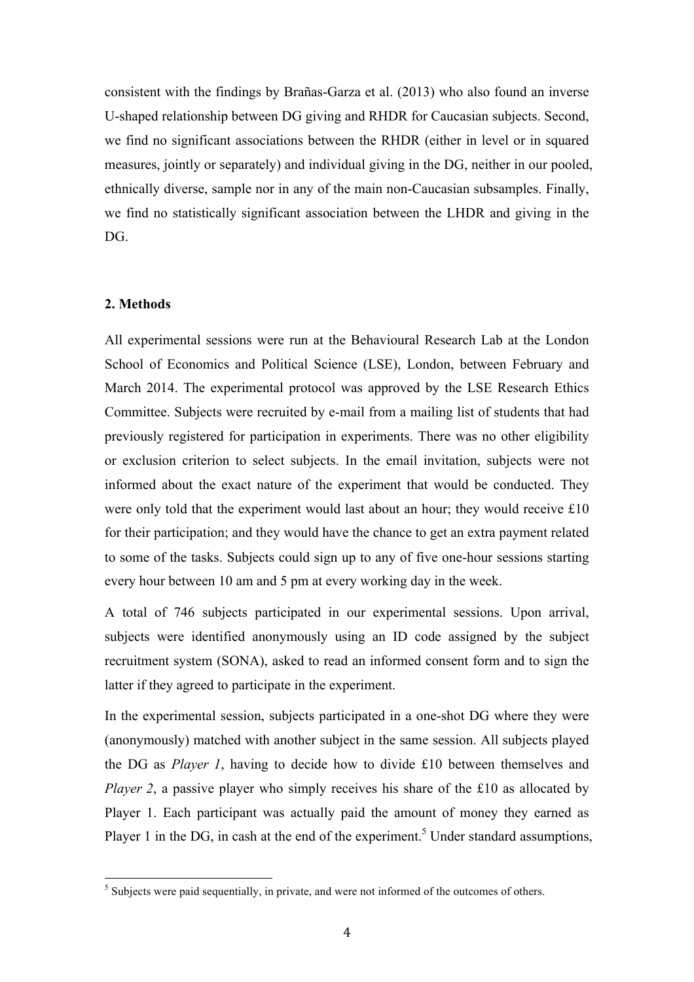consistent with the findings by Brañas-Garza et al. (2013) who also found an inverse U-shaped relationship between DG giving and RHDR for Caucasian subjects. Second, we find no significant associations between the RHDR (either in level or in squared measures, jointly or separately) and individual giving in the DG, neither in our pooled, ethnically diverse, sample nor in any of the main non-Caucasian subsamples. Finally, we find no statistically significant association between the LHDR and giving in the DG.

#### **2. Methods**

All experimental sessions were run at the Behavioural Research Lab at the London School of Economics and Political Science (LSE), London, between February and March 2014. The experimental protocol was approved by the LSE Research Ethics Committee. Subjects were recruited by e-mail from a mailing list of students that had previously registered for participation in experiments. There was no other eligibility or exclusion criterion to select subjects. In the email invitation, subjects were not informed about the exact nature of the experiment that would be conducted. They were only told that the experiment would last about an hour; they would receive £10 for their participation; and they would have the chance to get an extra payment related to some of the tasks. Subjects could sign up to any of five one-hour sessions starting every hour between 10 am and 5 pm at every working day in the week.

A total of 746 subjects participated in our experimental sessions. Upon arrival, subjects were identified anonymously using an ID code assigned by the subject recruitment system (SONA), asked to read an informed consent form and to sign the latter if they agreed to participate in the experiment.

In the experimental session, subjects participated in a one-shot DG where they were (anonymously) matched with another subject in the same session. All subjects played the DG as *Player 1*, having to decide how to divide £10 between themselves and *Player 2*, a passive player who simply receives his share of the £10 as allocated by Player 1. Each participant was actually paid the amount of money they earned as Player 1 in the DG, in cash at the end of the experiment.<sup>5</sup> Under standard assumptions,

<sup>&</sup>lt;sup>5</sup> Subjects were paid sequentially, in private, and were not informed of the outcomes of others.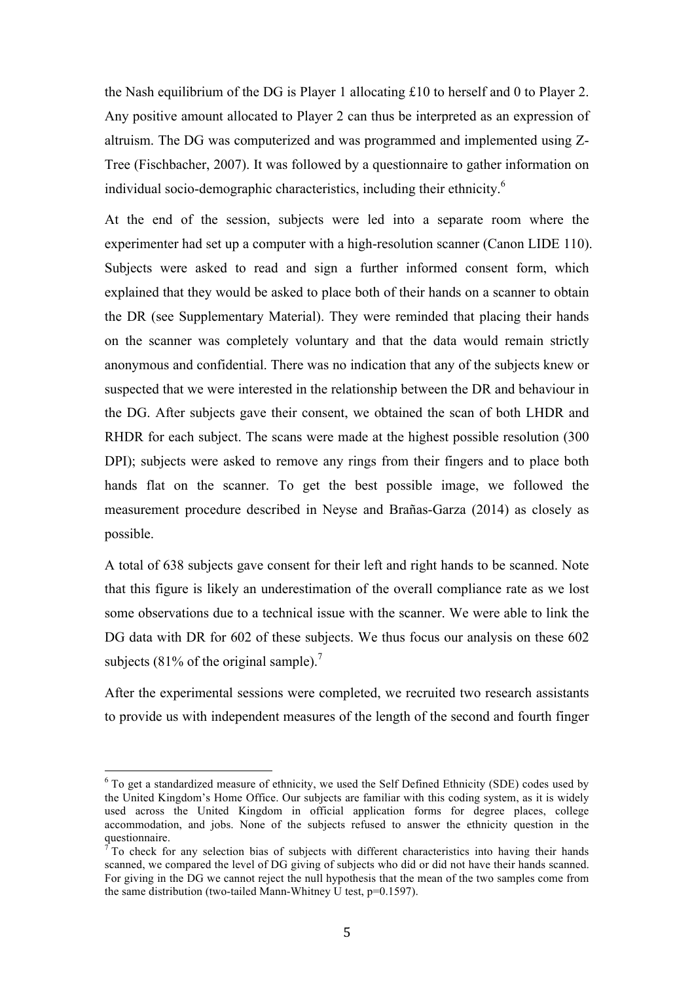the Nash equilibrium of the DG is Player 1 allocating £10 to herself and 0 to Player 2. Any positive amount allocated to Player 2 can thus be interpreted as an expression of altruism. The DG was computerized and was programmed and implemented using Z-Tree (Fischbacher, 2007). It was followed by a questionnaire to gather information on individual socio-demographic characteristics, including their ethnicity. 6

At the end of the session, subjects were led into a separate room where the experimenter had set up a computer with a high-resolution scanner (Canon LIDE 110). Subjects were asked to read and sign a further informed consent form, which explained that they would be asked to place both of their hands on a scanner to obtain the DR (see Supplementary Material). They were reminded that placing their hands on the scanner was completely voluntary and that the data would remain strictly anonymous and confidential. There was no indication that any of the subjects knew or suspected that we were interested in the relationship between the DR and behaviour in the DG. After subjects gave their consent, we obtained the scan of both LHDR and RHDR for each subject. The scans were made at the highest possible resolution (300 DPI); subjects were asked to remove any rings from their fingers and to place both hands flat on the scanner. To get the best possible image, we followed the measurement procedure described in Neyse and Brañas-Garza (2014) as closely as possible.

A total of 638 subjects gave consent for their left and right hands to be scanned. Note that this figure is likely an underestimation of the overall compliance rate as we lost some observations due to a technical issue with the scanner. We were able to link the DG data with DR for 602 of these subjects. We thus focus our analysis on these 602 subjects (81% of the original sample).<sup>7</sup>

After the experimental sessions were completed, we recruited two research assistants to provide us with independent measures of the length of the second and fourth finger

<sup>&</sup>lt;sup>6</sup> To get a standardized measure of ethnicity, we used the Self Defined Ethnicity (SDE) codes used by the United Kingdom's Home Office. Our subjects are familiar with this coding system, as it is widely used across the United Kingdom in official application forms for degree places, college accommodation, and jobs. None of the subjects refused to answer the ethnicity question in the questionnaire.

To check for any selection bias of subjects with different characteristics into having their hands scanned, we compared the level of DG giving of subjects who did or did not have their hands scanned. For giving in the DG we cannot reject the null hypothesis that the mean of the two samples come from the same distribution (two-tailed Mann-Whitney U test, p=0.1597).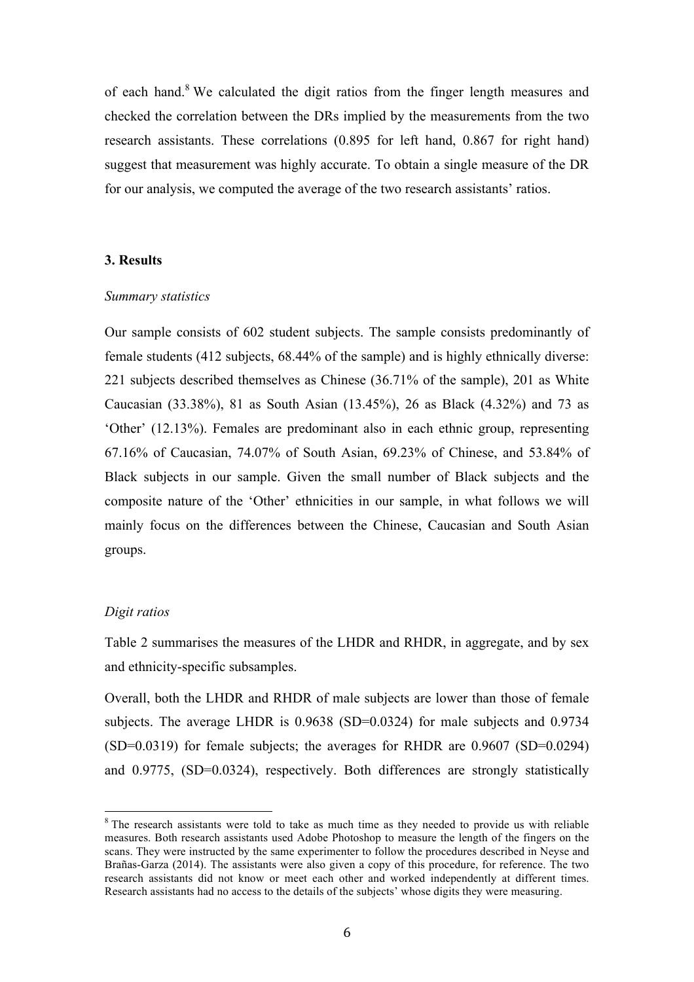of each hand.<sup>8</sup> We calculated the digit ratios from the finger length measures and checked the correlation between the DRs implied by the measurements from the two research assistants. These correlations (0.895 for left hand, 0.867 for right hand) suggest that measurement was highly accurate. To obtain a single measure of the DR for our analysis, we computed the average of the two research assistants' ratios.

#### **3. Results**

#### *Summary statistics*

Our sample consists of 602 student subjects. The sample consists predominantly of female students (412 subjects, 68.44% of the sample) and is highly ethnically diverse: 221 subjects described themselves as Chinese (36.71% of the sample), 201 as White Caucasian (33.38%), 81 as South Asian (13.45%), 26 as Black (4.32%) and 73 as 'Other' (12.13%). Females are predominant also in each ethnic group, representing 67.16% of Caucasian, 74.07% of South Asian, 69.23% of Chinese, and 53.84% of Black subjects in our sample. Given the small number of Black subjects and the composite nature of the 'Other' ethnicities in our sample, in what follows we will mainly focus on the differences between the Chinese, Caucasian and South Asian groups.

#### *Digit ratios*

Table 2 summarises the measures of the LHDR and RHDR, in aggregate, and by sex and ethnicity-specific subsamples.

Overall, both the LHDR and RHDR of male subjects are lower than those of female subjects. The average LHDR is 0.9638 (SD=0.0324) for male subjects and 0.9734 (SD=0.0319) for female subjects; the averages for RHDR are 0.9607 (SD=0.0294) and 0.9775, (SD=0.0324), respectively. Both differences are strongly statistically

<sup>&</sup>lt;sup>8</sup> The research assistants were told to take as much time as they needed to provide us with reliable measures. Both research assistants used Adobe Photoshop to measure the length of the fingers on the scans. They were instructed by the same experimenter to follow the procedures described in Neyse and Brañas-Garza (2014). The assistants were also given a copy of this procedure, for reference. The two research assistants did not know or meet each other and worked independently at different times. Research assistants had no access to the details of the subjects' whose digits they were measuring.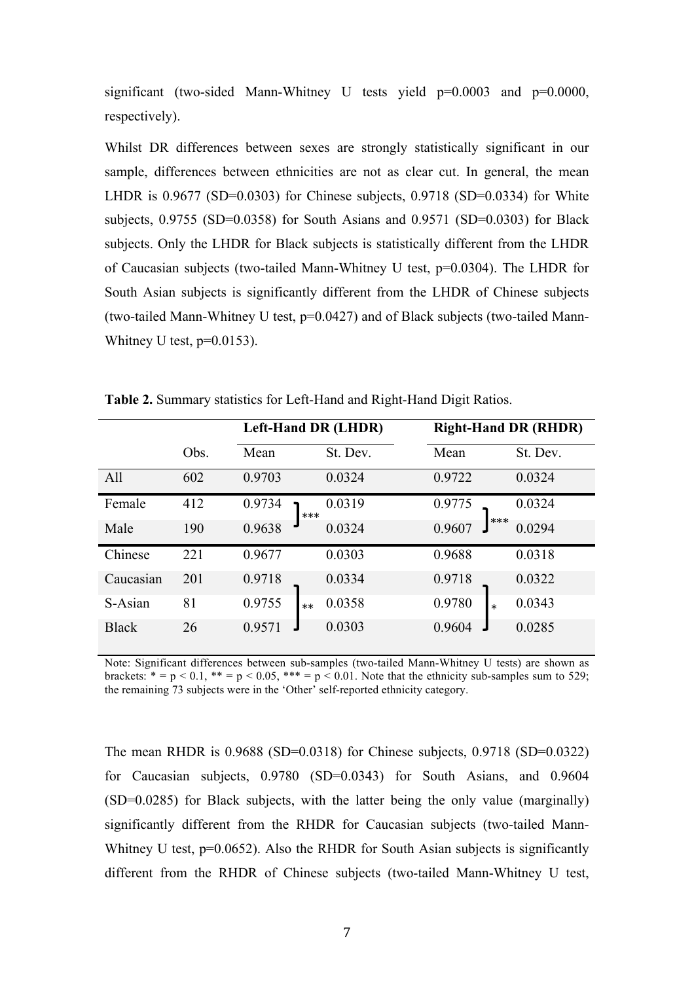significant (two-sided Mann-Whitney U tests yield  $p=0.0003$  and  $p=0.0000$ , respectively).

Whilst DR differences between sexes are strongly statistically significant in our sample, differences between ethnicities are not as clear cut. In general, the mean LHDR is 0.9677 (SD=0.0303) for Chinese subjects, 0.9718 (SD=0.0334) for White subjects, 0.9755 (SD=0.0358) for South Asians and 0.9571 (SD=0.0303) for Black subjects. Only the LHDR for Black subjects is statistically different from the LHDR of Caucasian subjects (two-tailed Mann-Whitney U test, p=0.0304). The LHDR for South Asian subjects is significantly different from the LHDR of Chinese subjects (two-tailed Mann-Whitney U test, p=0.0427) and of Black subjects (two-tailed Mann-Whitney U test,  $p=0.0153$ ).

|              |      |                 | <b>Left-Hand DR (LHDR)</b> |                  | <b>Right-Hand DR (RHDR)</b> |  |  |
|--------------|------|-----------------|----------------------------|------------------|-----------------------------|--|--|
|              | Obs. | Mean            | St. Dev.                   | Mean             | St. Dev.                    |  |  |
| All          | 602  | 0.9703          | 0.0324                     | 0.9722           | 0.0324                      |  |  |
| Female       | 412  | 0.9734<br>$***$ | 0.0319                     | 0.9775           | 0.0324                      |  |  |
| Male         | 190  | 0.9638          | 0.0324                     | ***<br>0.9607    | 0.0294                      |  |  |
| Chinese      | 221  | 0.9677          | 0.0303                     | 0.9688           | 0.0318                      |  |  |
| Caucasian    | 201  | 0.9718          | 0.0334                     | 0.9718           | 0.0322                      |  |  |
| S-Asian      | 81   | 0.9755<br>$**$  | 0.0358                     | 0.9780<br>$\ast$ | 0.0343                      |  |  |
| <b>Black</b> | 26   | 0.9571          | 0.0303                     | 0.9604           | 0.0285                      |  |  |

**Table 2.** Summary statistics for Left-Hand and Right-Hand Digit Ratios.

Note: Significant differences between sub-samples (two-tailed Mann-Whitney U tests) are shown as brackets:  $* = p < 0.1$ ,  $** = p < 0.05$ ,  $*** = p < 0.01$ . Note that the ethnicity sub-samples sum to 529; the remaining 73 subjects were in the 'Other' self-reported ethnicity category.

The mean RHDR is 0.9688 (SD=0.0318) for Chinese subjects, 0.9718 (SD=0.0322) for Caucasian subjects, 0.9780 (SD=0.0343) for South Asians, and 0.9604 (SD=0.0285) for Black subjects, with the latter being the only value (marginally) significantly different from the RHDR for Caucasian subjects (two-tailed Mann-Whitney U test,  $p=0.0652$ ). Also the RHDR for South Asian subjects is significantly different from the RHDR of Chinese subjects (two-tailed Mann-Whitney U test,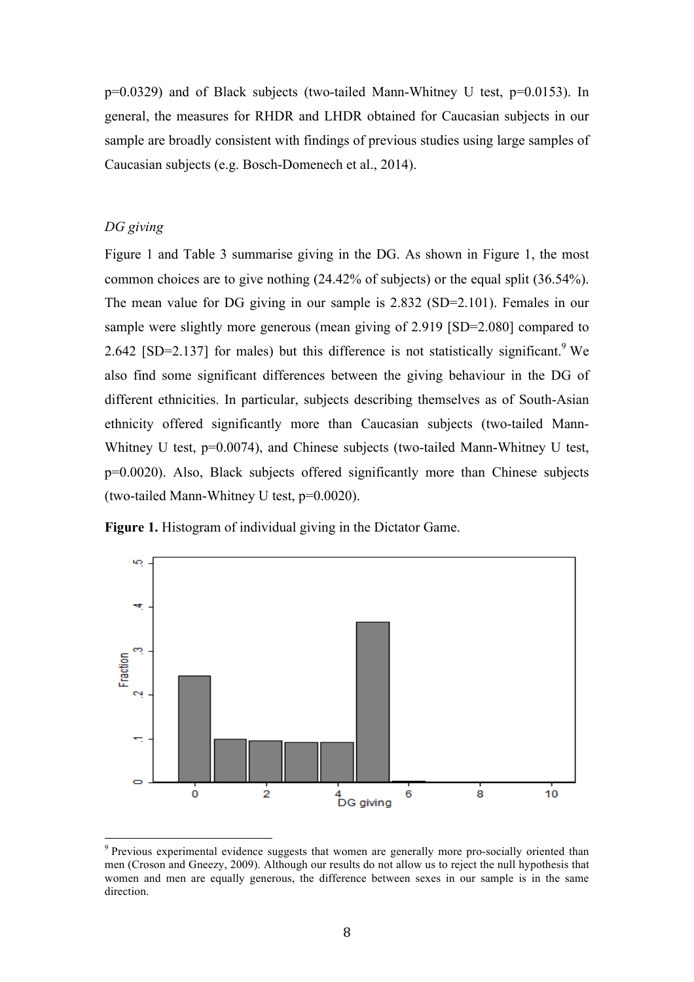p=0.0329) and of Black subjects (two-tailed Mann-Whitney U test, p=0.0153). In general, the measures for RHDR and LHDR obtained for Caucasian subjects in our sample are broadly consistent with findings of previous studies using large samples of Caucasian subjects (e.g. Bosch-Domenech et al., 2014).

#### *DG giving*

Figure 1 and Table 3 summarise giving in the DG. As shown in Figure 1, the most common choices are to give nothing (24.42% of subjects) or the equal split (36.54%). The mean value for DG giving in our sample is 2.832 (SD=2.101). Females in our sample were slightly more generous (mean giving of 2.919 [SD=2.080] compared to 2.642 [SD=2.137] for males) but this difference is not statistically significant.<sup>9</sup> We also find some significant differences between the giving behaviour in the DG of different ethnicities. In particular, subjects describing themselves as of South-Asian ethnicity offered significantly more than Caucasian subjects (two-tailed Mann-Whitney U test, p=0.0074), and Chinese subjects (two-tailed Mann-Whitney U test, p=0.0020). Also, Black subjects offered significantly more than Chinese subjects (two-tailed Mann-Whitney U test, p=0.0020).





<sup>&</sup>lt;sup>9</sup> Previous experimental evidence suggests that women are generally more pro-socially oriented than men (Croson and Gneezy, 2009). Although our results do not allow us to reject the null hypothesis that women and men are equally generous, the difference between sexes in our sample is in the same direction.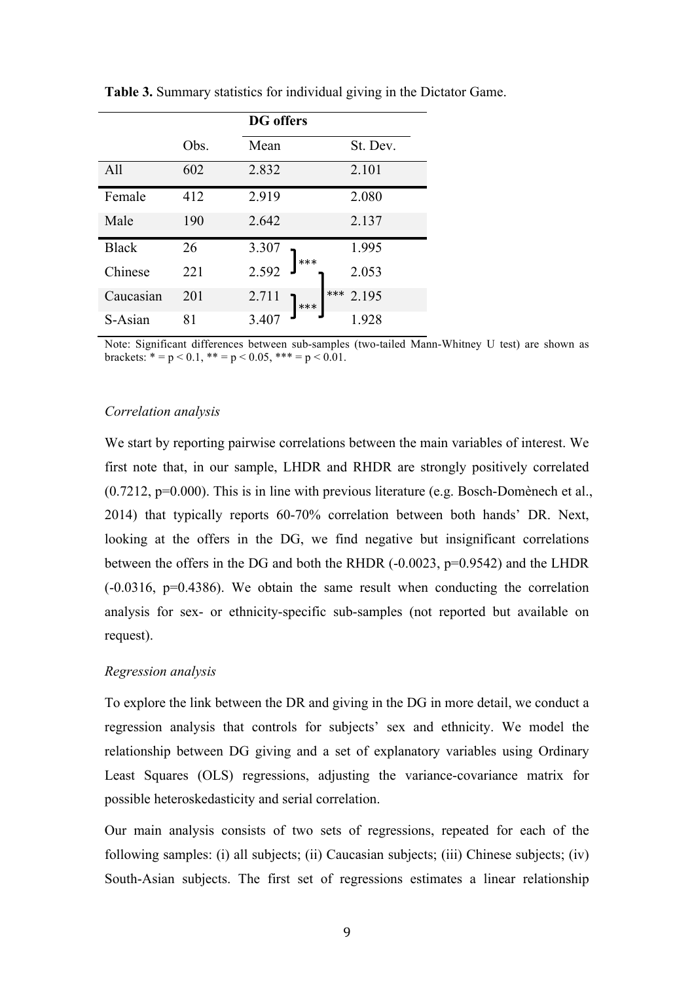|              |      | <b>DG</b> offers      |
|--------------|------|-----------------------|
|              | Obs. | Mean<br>St. Dev.      |
| All          | 602  | 2.101<br>2.832        |
| Female       | 412  | 2.919<br>2.080        |
| Male         | 190  | 2.642<br>2.137        |
| <b>Black</b> | 26   | 1.995<br>3.307        |
| Chinese      | 221  | 2.592<br>2.053        |
| Caucasian    | 201  | ***<br>2.195<br>2.711 |
| S-Asian      | 81   | 3.407<br>1 928        |

**Table 3.** Summary statistics for individual giving in the Dictator Game.

Note: Significant differences between sub-samples (two-tailed Mann-Whitney U test) are shown as brackets:  $* = p < 0.1$ ,  $** = p < 0.05$ ,  $*** = p < 0.01$ .

#### *Correlation analysis*

We start by reporting pairwise correlations between the main variables of interest. We first note that, in our sample, LHDR and RHDR are strongly positively correlated (0.7212, p=0.000). This is in line with previous literature (e.g. Bosch-Domènech et al., 2014) that typically reports 60-70% correlation between both hands' DR. Next, looking at the offers in the DG, we find negative but insignificant correlations between the offers in the DG and both the RHDR (-0.0023, p=0.9542) and the LHDR (-0.0316, p=0.4386). We obtain the same result when conducting the correlation analysis for sex- or ethnicity-specific sub-samples (not reported but available on request).

#### *Regression analysis*

To explore the link between the DR and giving in the DG in more detail, we conduct a regression analysis that controls for subjects' sex and ethnicity. We model the relationship between DG giving and a set of explanatory variables using Ordinary Least Squares (OLS) regressions, adjusting the variance-covariance matrix for possible heteroskedasticity and serial correlation.

Our main analysis consists of two sets of regressions, repeated for each of the following samples: (i) all subjects; (ii) Caucasian subjects; (iii) Chinese subjects; (iv) South-Asian subjects. The first set of regressions estimates a linear relationship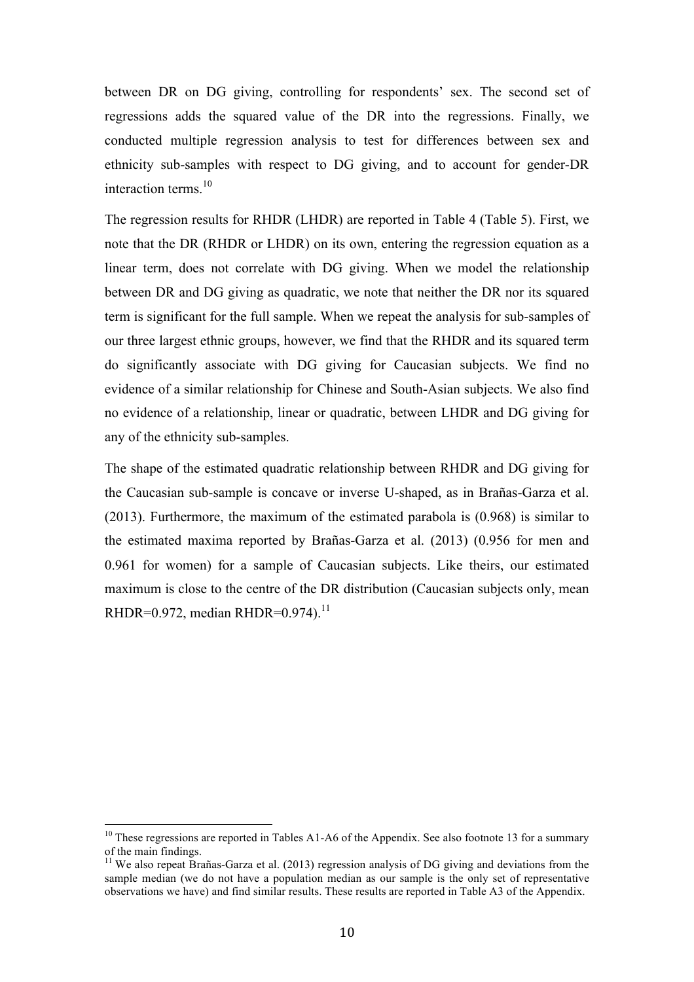between DR on DG giving, controlling for respondents' sex. The second set of regressions adds the squared value of the DR into the regressions. Finally, we conducted multiple regression analysis to test for differences between sex and ethnicity sub-samples with respect to DG giving, and to account for gender-DR interaction terms. 10

The regression results for RHDR (LHDR) are reported in Table 4 (Table 5). First, we note that the DR (RHDR or LHDR) on its own, entering the regression equation as a linear term, does not correlate with DG giving. When we model the relationship between DR and DG giving as quadratic, we note that neither the DR nor its squared term is significant for the full sample. When we repeat the analysis for sub-samples of our three largest ethnic groups, however, we find that the RHDR and its squared term do significantly associate with DG giving for Caucasian subjects. We find no evidence of a similar relationship for Chinese and South-Asian subjects. We also find no evidence of a relationship, linear or quadratic, between LHDR and DG giving for any of the ethnicity sub-samples.

The shape of the estimated quadratic relationship between RHDR and DG giving for the Caucasian sub-sample is concave or inverse U-shaped, as in Brañas-Garza et al. (2013). Furthermore, the maximum of the estimated parabola is (0.968) is similar to the estimated maxima reported by Brañas-Garza et al. (2013) (0.956 for men and 0.961 for women) for a sample of Caucasian subjects. Like theirs, our estimated maximum is close to the centre of the DR distribution (Caucasian subjects only, mean RHDR= $0.972$ , median RHDR= $0.974$ ).<sup>11</sup>

<sup>&</sup>lt;sup>10</sup> These regressions are reported in Tables A1-A6 of the Appendix. See also footnote 13 for a summary of the main findings.

<sup>&</sup>lt;sup>11</sup> We also repeat Brañas-Garza et al. (2013) regression analysis of DG giving and deviations from the sample median (we do not have a population median as our sample is the only set of representative observations we have) and find similar results. These results are reported in Table A3 of the Appendix.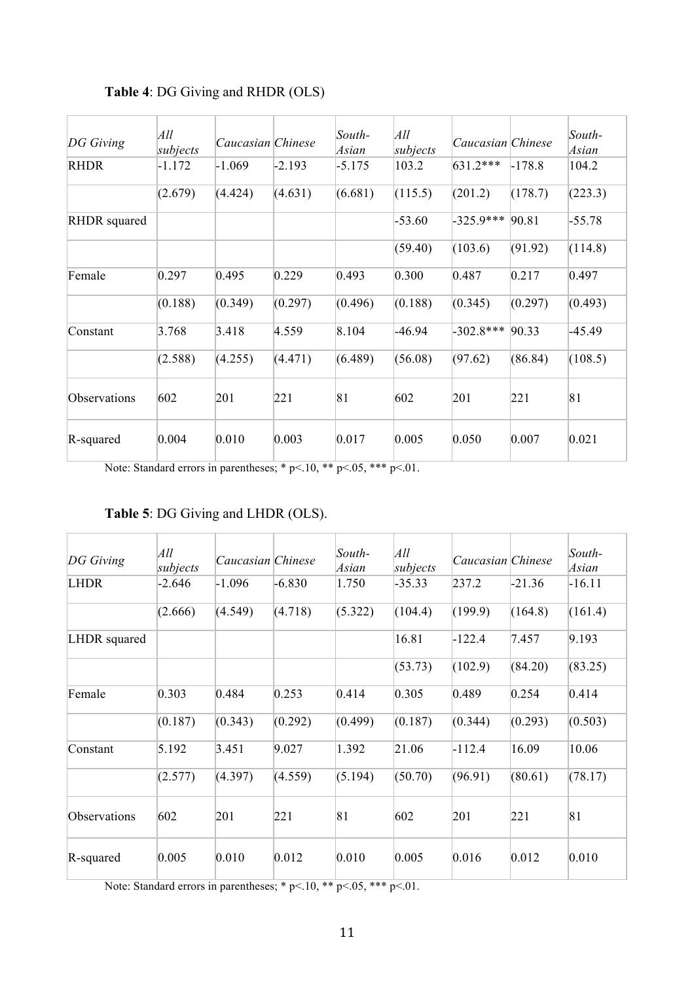| DG Giving           | All<br>subjects | Caucasian Chinese |          | South-<br>Asian | All<br>subjects | Caucasian Chinese |          | South-<br>Asian |
|---------------------|-----------------|-------------------|----------|-----------------|-----------------|-------------------|----------|-----------------|
| <b>RHDR</b>         | $-1.172$        | $-1.069$          | $-2.193$ | $-5.175$        | 103.2           | 631.2***          | $-178.8$ | 104.2           |
|                     | (2.679)         | (4.424)           | (4.631)  | (6.681)         | (115.5)         | (201.2)           | (178.7)  | (223.3)         |
| <b>RHDR</b> squared |                 |                   |          |                 | $-53.60$        | $-325.9***$       | 90.81    | $-55.78$        |
|                     |                 |                   |          |                 | (59.40)         | (103.6)           | (91.92)  | (114.8)         |
| Female              | 0.297           | 0.495             | 0.229    | 0.493           | 0.300           | 0.487             | 0.217    | 0.497           |
|                     | (0.188)         | (0.349)           | (0.297)  | (0.496)         | (0.188)         | (0.345)           | (0.297)  | (0.493)         |
| Constant            | 3.768           | 3.418             | 4.559    | 8.104           | $-46.94$        | $-302.8***$       | 90.33    | $-45.49$        |
|                     | (2.588)         | (4.255)           | (4.471)  | (6.489)         | (56.08)         | (97.62)           | (86.84)  | (108.5)         |
| Observations        | 602             | 201               | 221      | 81              | 602             | 201               | 221      | 81              |
| R-squared           | 0.004           | 0.010             | 0.003    | 0.017           | 0.005           | 0.050             | 0.007    | 0.021           |

#### **Table 4**: DG Giving and RHDR (OLS)

Note: Standard errors in parentheses; \*  $p<10$ , \*\*  $p<.05$ , \*\*\*  $p<.01$ .

**Table 5**: DG Giving and LHDR (OLS).

| DG Giving    | All<br>subjects | Caucasian Chinese |          | South-<br>Asian | All<br>subjects | Caucasian Chinese |          | South-<br>Asian |
|--------------|-----------------|-------------------|----------|-----------------|-----------------|-------------------|----------|-----------------|
| <b>LHDR</b>  | $-2.646$        | $-1.096$          | $-6.830$ | 1.750           | $-35.33$        | 237.2             | $-21.36$ | $-16.11$        |
|              | (2.666)         | (4.549)           | (4.718)  | (5.322)         | (104.4)         | (199.9)           | (164.8)  | (161.4)         |
| LHDR squared |                 |                   |          |                 | 16.81           | $-122.4$          | 7.457    | 9.193           |
|              |                 |                   |          |                 | (53.73)         | (102.9)           | (84.20)  | (83.25)         |
| Female       | 0.303           | 0.484             | 0.253    | 0.414           | 0.305           | 0.489             | 0.254    | 0.414           |
|              | (0.187)         | (0.343)           | (0.292)  | (0.499)         | (0.187)         | (0.344)           | (0.293)  | (0.503)         |
| Constant     | 5.192           | 3.451             | 9.027    | 1.392           | 21.06           | $-112.4$          | 16.09    | 10.06           |
|              | (2.577)         | (4.397)           | (4.559)  | (5.194)         | (50.70)         | (96.91)           | (80.61)  | (78.17)         |
| Observations | 602             | 201               | 221      | 81              | 602             | 201               | 221      | 81              |
| $R$ -squared | 0.005           | 0.010             | 0.012    | 0.010           | 0.005           | 0.016             | 0.012    | 0.010           |

Note: Standard errors in parentheses; \*  $p<10$ , \*\*  $p<.05$ , \*\*\*  $p<.01$ .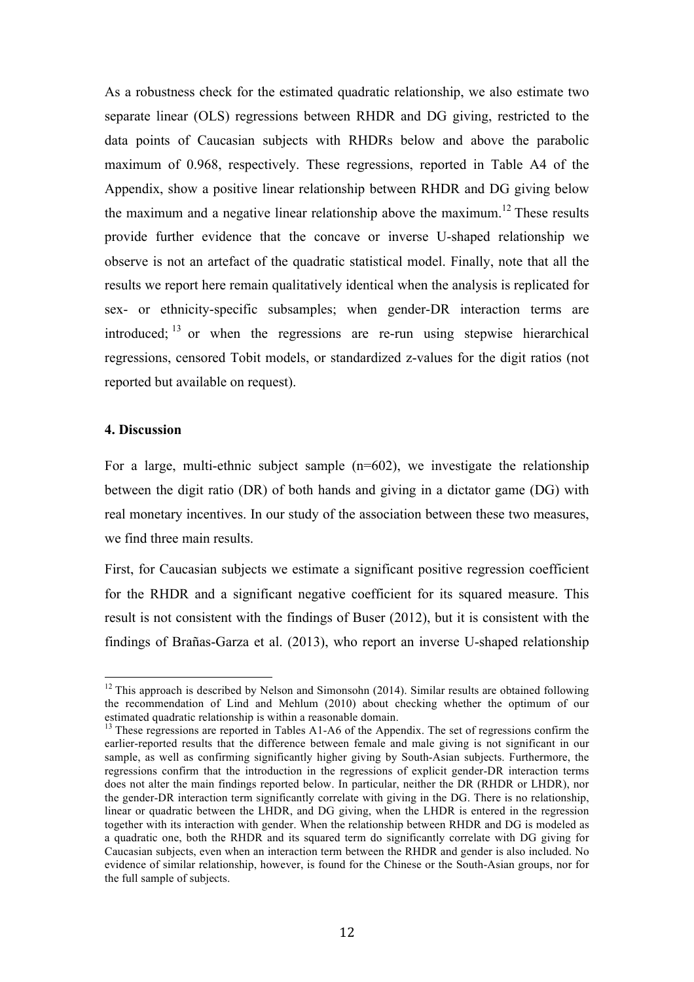As a robustness check for the estimated quadratic relationship, we also estimate two separate linear (OLS) regressions between RHDR and DG giving, restricted to the data points of Caucasian subjects with RHDRs below and above the parabolic maximum of 0.968, respectively. These regressions, reported in Table A4 of the Appendix, show a positive linear relationship between RHDR and DG giving below the maximum and a negative linear relationship above the maximum.<sup>12</sup> These results provide further evidence that the concave or inverse U-shaped relationship we observe is not an artefact of the quadratic statistical model. Finally, note that all the results we report here remain qualitatively identical when the analysis is replicated for sex- or ethnicity-specific subsamples; when gender-DR interaction terms are introduced;  $13$  or when the regressions are re-run using stepwise hierarchical regressions, censored Tobit models, or standardized z-values for the digit ratios (not reported but available on request).

#### **4. Discussion**

For a large, multi-ethnic subject sample  $(n=602)$ , we investigate the relationship between the digit ratio (DR) of both hands and giving in a dictator game (DG) with real monetary incentives. In our study of the association between these two measures, we find three main results.

First, for Caucasian subjects we estimate a significant positive regression coefficient for the RHDR and a significant negative coefficient for its squared measure. This result is not consistent with the findings of Buser (2012), but it is consistent with the findings of Brañas-Garza et al. (2013), who report an inverse U-shaped relationship

 $12$  This approach is described by Nelson and Simonsohn (2014). Similar results are obtained following the recommendation of Lind and Mehlum (2010) about checking whether the optimum of our estimated quadratic relationship is within a reasonable domain.

<sup>&</sup>lt;sup>13</sup> These regressions are reported in Tables A1-A6 of the Appendix. The set of regressions confirm the earlier-reported results that the difference between female and male giving is not significant in our sample, as well as confirming significantly higher giving by South-Asian subjects. Furthermore, the regressions confirm that the introduction in the regressions of explicit gender-DR interaction terms does not alter the main findings reported below. In particular, neither the DR (RHDR or LHDR), nor the gender-DR interaction term significantly correlate with giving in the DG. There is no relationship, linear or quadratic between the LHDR, and DG giving, when the LHDR is entered in the regression together with its interaction with gender. When the relationship between RHDR and DG is modeled as a quadratic one, both the RHDR and its squared term do significantly correlate with DG giving for Caucasian subjects, even when an interaction term between the RHDR and gender is also included. No evidence of similar relationship, however, is found for the Chinese or the South-Asian groups, nor for the full sample of subjects.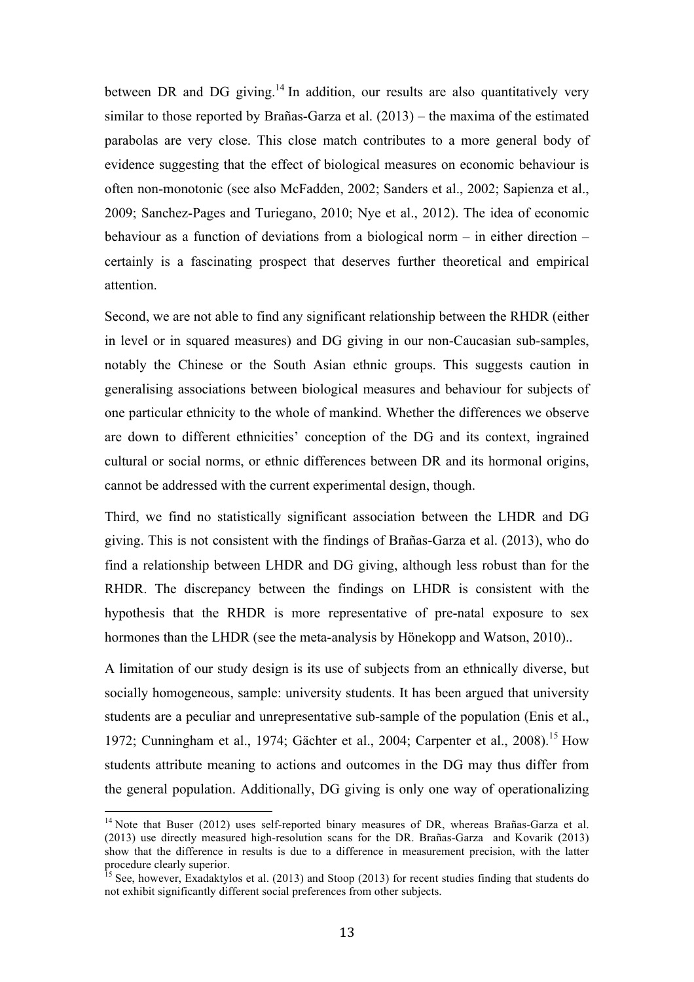between DR and DG giving.<sup>14</sup> In addition, our results are also quantitatively very similar to those reported by Brañas-Garza et al. (2013) – the maxima of the estimated parabolas are very close. This close match contributes to a more general body of evidence suggesting that the effect of biological measures on economic behaviour is often non-monotonic (see also McFadden, 2002; Sanders et al., 2002; Sapienza et al., 2009; Sanchez-Pages and Turiegano, 2010; Nye et al., 2012). The idea of economic behaviour as a function of deviations from a biological norm – in either direction – certainly is a fascinating prospect that deserves further theoretical and empirical attention.

Second, we are not able to find any significant relationship between the RHDR (either in level or in squared measures) and DG giving in our non-Caucasian sub-samples, notably the Chinese or the South Asian ethnic groups. This suggests caution in generalising associations between biological measures and behaviour for subjects of one particular ethnicity to the whole of mankind. Whether the differences we observe are down to different ethnicities' conception of the DG and its context, ingrained cultural or social norms, or ethnic differences between DR and its hormonal origins, cannot be addressed with the current experimental design, though.

Third, we find no statistically significant association between the LHDR and DG giving. This is not consistent with the findings of Brañas-Garza et al. (2013), who do find a relationship between LHDR and DG giving, although less robust than for the RHDR. The discrepancy between the findings on LHDR is consistent with the hypothesis that the RHDR is more representative of pre-natal exposure to sex hormones than the LHDR (see the meta-analysis by Hönekopp and Watson, 2010)..

A limitation of our study design is its use of subjects from an ethnically diverse, but socially homogeneous, sample: university students. It has been argued that university students are a peculiar and unrepresentative sub-sample of the population (Enis et al., 1972; Cunningham et al., 1974; Gächter et al., 2004; Carpenter et al., 2008).<sup>15</sup> How students attribute meaning to actions and outcomes in the DG may thus differ from the general population. Additionally, DG giving is only one way of operationalizing

<sup>&</sup>lt;sup>14</sup> Note that Buser (2012) uses self-reported binary measures of DR, whereas Brañas-Garza et al. (2013) use directly measured high-resolution scans for the DR. Brañas-Garza and Kovarik (2013) show that the difference in results is due to a difference in measurement precision, with the latter procedure clearly superior.

<sup>&</sup>lt;sup>15</sup> See, however, Exadaktylos et al. (2013) and Stoop (2013) for recent studies finding that students do not exhibit significantly different social preferences from other subjects.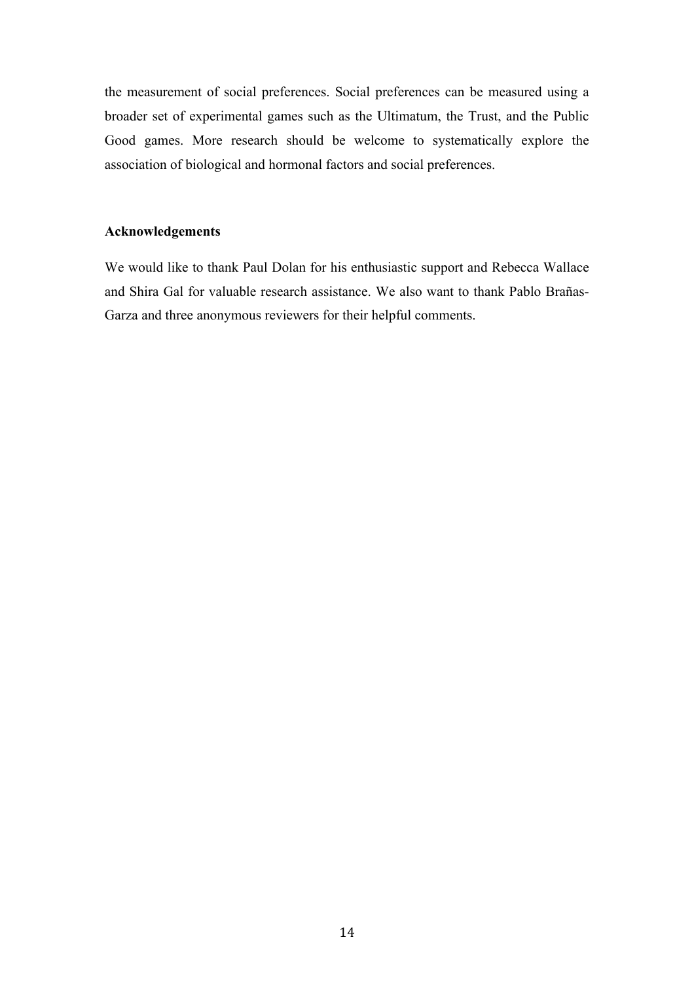the measurement of social preferences. Social preferences can be measured using a broader set of experimental games such as the Ultimatum, the Trust, and the Public Good games. More research should be welcome to systematically explore the association of biological and hormonal factors and social preferences.

#### **Acknowledgements**

We would like to thank Paul Dolan for his enthusiastic support and Rebecca Wallace and Shira Gal for valuable research assistance. We also want to thank Pablo Brañas-Garza and three anonymous reviewers for their helpful comments.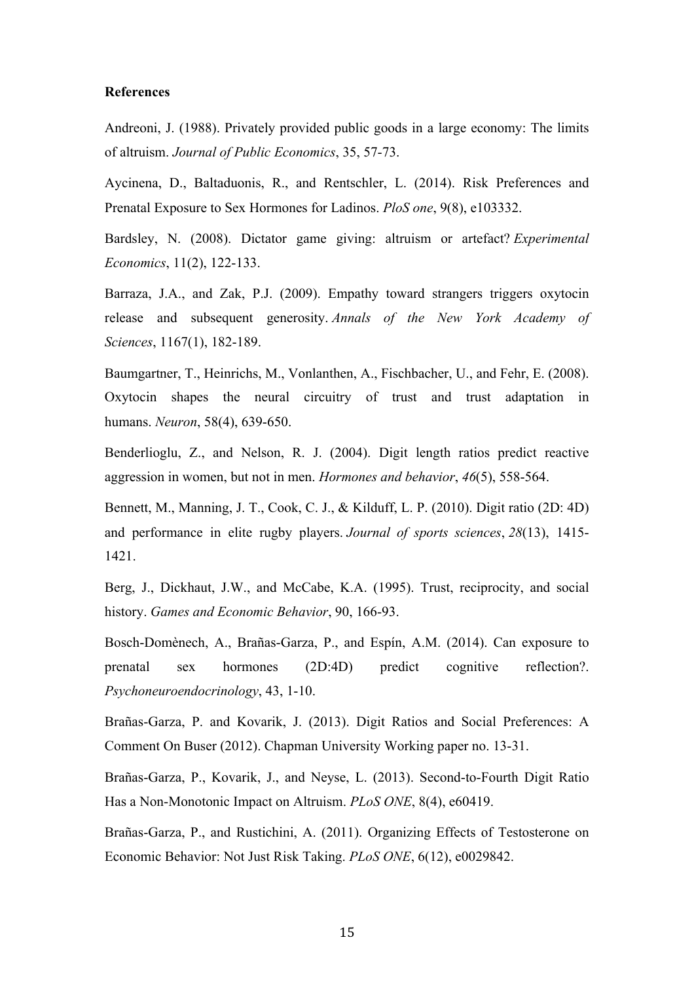#### **References**

Andreoni, J. (1988). Privately provided public goods in a large economy: The limits of altruism. *Journal of Public Economics*, 35, 57-73.

Aycinena, D., Baltaduonis, R., and Rentschler, L. (2014). Risk Preferences and Prenatal Exposure to Sex Hormones for Ladinos. *PloS one*, 9(8), e103332.

Bardsley, N. (2008). Dictator game giving: altruism or artefact? *Experimental Economics*, 11(2), 122-133.

Barraza, J.A., and Zak, P.J. (2009). Empathy toward strangers triggers oxytocin release and subsequent generosity. *Annals of the New York Academy of Sciences*, 1167(1), 182-189.

Baumgartner, T., Heinrichs, M., Vonlanthen, A., Fischbacher, U., and Fehr, E. (2008). Oxytocin shapes the neural circuitry of trust and trust adaptation in humans. *Neuron*, 58(4), 639-650.

Benderlioglu, Z., and Nelson, R. J. (2004). Digit length ratios predict reactive aggression in women, but not in men. *Hormones and behavior*, *46*(5), 558-564.

Bennett, M., Manning, J. T., Cook, C. J., & Kilduff, L. P. (2010). Digit ratio (2D: 4D) and performance in elite rugby players. *Journal of sports sciences*, *28*(13), 1415- 1421.

Berg, J., Dickhaut, J.W., and McCabe, K.A. (1995). Trust, reciprocity, and social history. *Games and Economic Behavior*, 90, 166-93.

Bosch-Domènech, A., Brañas-Garza, P., and Espín, A.M. (2014). Can exposure to prenatal sex hormones (2D:4D) predict cognitive reflection?. *Psychoneuroendocrinology*, 43, 1-10.

Brañas-Garza, P. and Kovarik, J. (2013). Digit Ratios and Social Preferences: A Comment On Buser (2012). Chapman University Working paper no. 13-31.

Brañas-Garza, P., Kovarik, J., and Neyse, L. (2013). Second-to-Fourth Digit Ratio Has a Non-Monotonic Impact on Altruism. *PLoS ONE*, 8(4), e60419.

Brañas-Garza, P., and Rustichini, A. (2011). Organizing Effects of Testosterone on Economic Behavior: Not Just Risk Taking. *PLoS ONE*, 6(12), e0029842.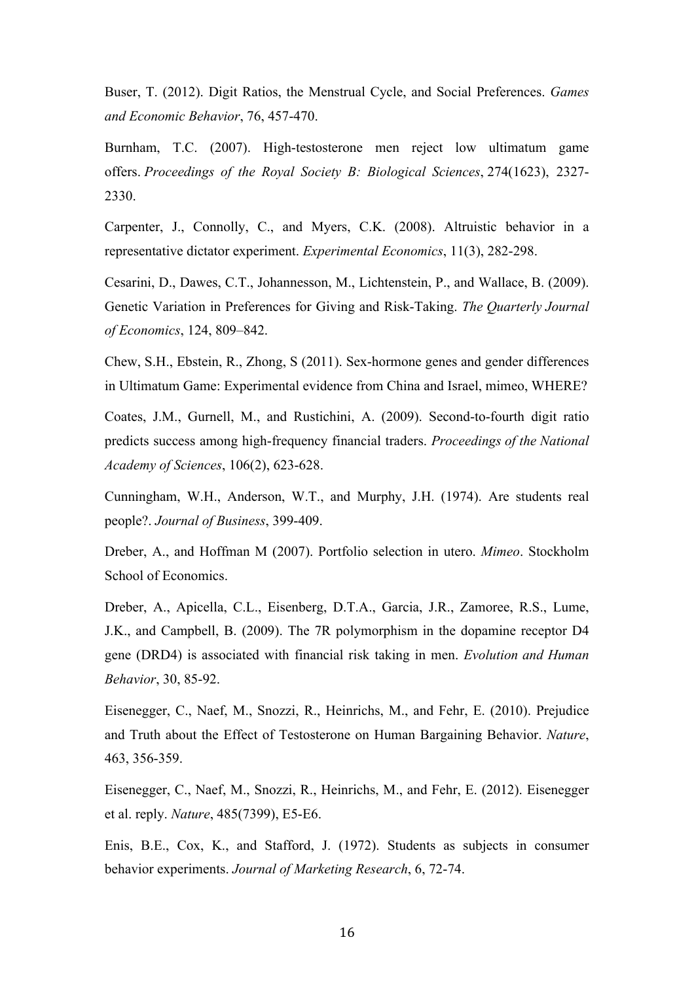Buser, T. (2012). Digit Ratios, the Menstrual Cycle, and Social Preferences. *Games and Economic Behavior*, 76, 457-470.

Burnham, T.C. (2007). High-testosterone men reject low ultimatum game offers. *Proceedings of the Royal Society B: Biological Sciences*, 274(1623), 2327- 2330.

Carpenter, J., Connolly, C., and Myers, C.K. (2008). Altruistic behavior in a representative dictator experiment. *Experimental Economics*, 11(3), 282-298.

Cesarini, D., Dawes, C.T., Johannesson, M., Lichtenstein, P., and Wallace, B. (2009). Genetic Variation in Preferences for Giving and Risk-Taking. *The Quarterly Journal of Economics*, 124, 809–842.

Chew, S.H., Ebstein, R., Zhong, S (2011). Sex-hormone genes and gender differences in Ultimatum Game: Experimental evidence from China and Israel, mimeo, WHERE?

Coates, J.M., Gurnell, M., and Rustichini, A. (2009). Second-to-fourth digit ratio predicts success among high-frequency financial traders. *Proceedings of the National Academy of Sciences*, 106(2), 623-628.

Cunningham, W.H., Anderson, W.T., and Murphy, J.H. (1974). Are students real people?. *Journal of Business*, 399-409.

Dreber, A., and Hoffman M (2007). Portfolio selection in utero. *Mimeo*. Stockholm School of Economics.

Dreber, A., Apicella, C.L., Eisenberg, D.T.A., Garcia, J.R., Zamoree, R.S., Lume, J.K., and Campbell, B. (2009). The 7R polymorphism in the dopamine receptor D4 gene (DRD4) is associated with financial risk taking in men. *Evolution and Human Behavior*, 30, 85-92.

Eisenegger, C., Naef, M., Snozzi, R., Heinrichs, M., and Fehr, E. (2010). Prejudice and Truth about the Effect of Testosterone on Human Bargaining Behavior. *Nature*, 463, 356-359.

Eisenegger, C., Naef, M., Snozzi, R., Heinrichs, M., and Fehr, E. (2012). Eisenegger et al. reply. *Nature*, 485(7399), E5-E6.

Enis, B.E., Cox, K., and Stafford, J. (1972). Students as subjects in consumer behavior experiments. *Journal of Marketing Research*, 6, 72-74.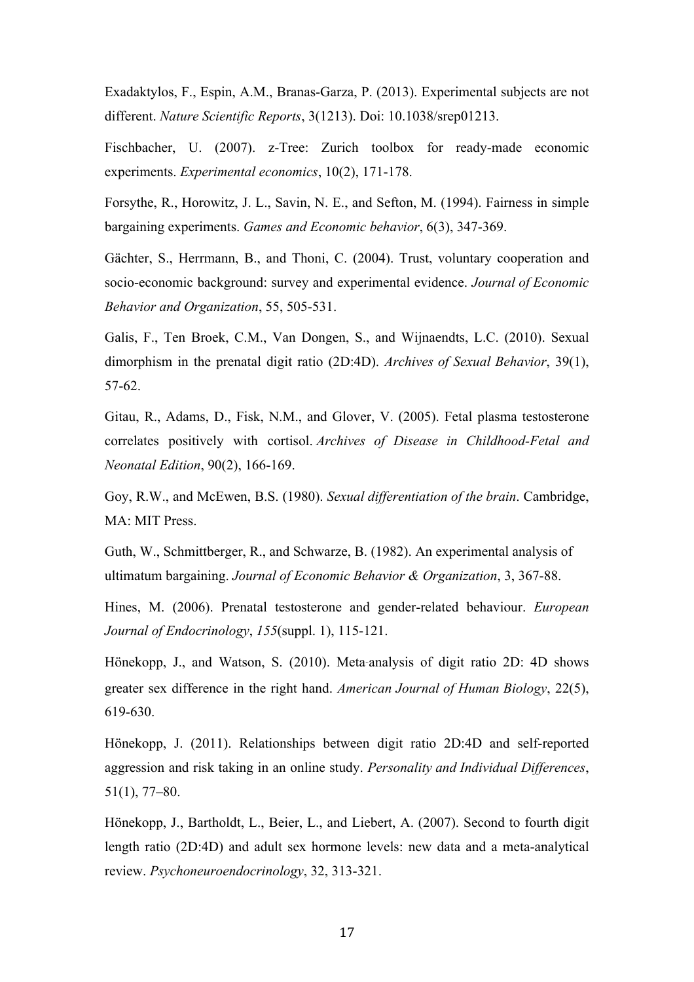Exadaktylos, F., Espin, A.M., Branas-Garza, P. (2013). Experimental subjects are not different. *Nature Scientific Reports*, 3(1213). Doi: 10.1038/srep01213.

Fischbacher, U. (2007). z-Tree: Zurich toolbox for ready-made economic experiments. *Experimental economics*, 10(2), 171-178.

Forsythe, R., Horowitz, J. L., Savin, N. E., and Sefton, M. (1994). Fairness in simple bargaining experiments. *Games and Economic behavior*, 6(3), 347-369.

Gächter, S., Herrmann, B., and Thoni, C. (2004). Trust, voluntary cooperation and socio-economic background: survey and experimental evidence. *Journal of Economic Behavior and Organization*, 55, 505-531.

Galis, F., Ten Broek, C.M., Van Dongen, S., and Wijnaendts, L.C. (2010). Sexual dimorphism in the prenatal digit ratio (2D:4D). *Archives of Sexual Behavior*, 39(1), 57-62.

Gitau, R., Adams, D., Fisk, N.M., and Glover, V. (2005). Fetal plasma testosterone correlates positively with cortisol. *Archives of Disease in Childhood-Fetal and Neonatal Edition*, 90(2), 166-169.

Goy, R.W., and McEwen, B.S. (1980). *Sexual differentiation of the brain*. Cambridge, MA: MIT Press.

Guth, W., Schmittberger, R., and Schwarze, B. (1982). An experimental analysis of ultimatum bargaining. *Journal of Economic Behavior & Organization*, 3, 367-88.

Hines, M. (2006). Prenatal testosterone and gender-related behaviour. *European Journal of Endocrinology*, *155*(suppl. 1), 115-121.

Hönekopp, J., and Watson, S. (2010). Meta*‐*analysis of digit ratio 2D: 4D shows greater sex difference in the right hand. *American Journal of Human Biology*, 22(5), 619-630.

Hönekopp, J. (2011). Relationships between digit ratio 2D:4D and self-reported aggression and risk taking in an online study. *Personality and Individual Differences*, 51(1), 77–80.

Hönekopp, J., Bartholdt, L., Beier, L., and Liebert, A. (2007). Second to fourth digit length ratio (2D:4D) and adult sex hormone levels: new data and a meta-analytical review. *Psychoneuroendocrinology*, 32, 313-321.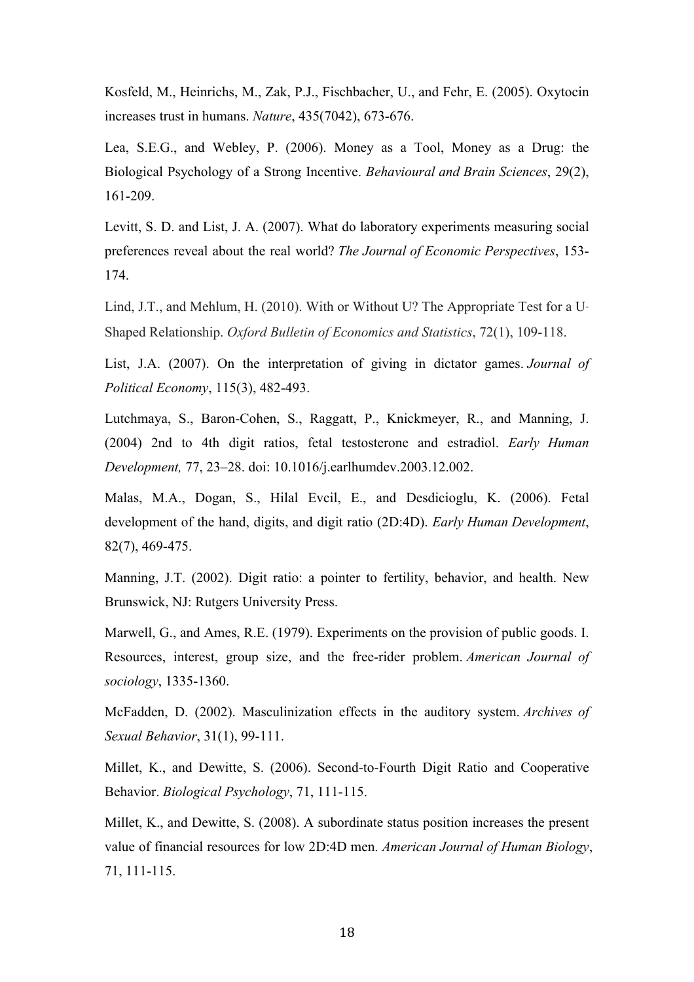Kosfeld, M., Heinrichs, M., Zak, P.J., Fischbacher, U., and Fehr, E. (2005). Oxytocin increases trust in humans. *Nature*, 435(7042), 673-676.

Lea, S.E.G., and Webley, P. (2006). Money as a Tool, Money as a Drug: the Biological Psychology of a Strong Incentive. *Behavioural and Brain Sciences*, 29(2), 161-209.

Levitt, S. D. and List, J. A. (2007). What do laboratory experiments measuring social preferences reveal about the real world? *The Journal of Economic Perspectives*, 153- 174.

Lind, J.T., and Mehlum, H. (2010). With or Without U? The Appropriate Test for a U*‐* Shaped Relationship. *Oxford Bulletin of Economics and Statistics*, 72(1), 109-118.

List, J.A. (2007). On the interpretation of giving in dictator games. *Journal of Political Economy*, 115(3), 482-493.

Lutchmaya, S., Baron-Cohen, S., Raggatt, P., Knickmeyer, R., and Manning, J. (2004) 2nd to 4th digit ratios, fetal testosterone and estradiol. *Early Human Development,* 77, 23–28. doi: 10.1016/j.earlhumdev.2003.12.002.

Malas, M.A., Dogan, S., Hilal Evcil, E., and Desdicioglu, K. (2006). Fetal development of the hand, digits, and digit ratio (2D:4D). *Early Human Development*, 82(7), 469-475.

Manning, J.T. (2002). Digit ratio: a pointer to fertility, behavior, and health. New Brunswick, NJ: Rutgers University Press.

Marwell, G., and Ames, R.E. (1979). Experiments on the provision of public goods. I. Resources, interest, group size, and the free-rider problem. *American Journal of sociology*, 1335-1360.

McFadden, D. (2002). Masculinization effects in the auditory system. *Archives of Sexual Behavior*, 31(1), 99-111.

Millet, K., and Dewitte, S. (2006). Second-to-Fourth Digit Ratio and Cooperative Behavior. *Biological Psychology*, 71, 111-115.

Millet, K., and Dewitte, S. (2008). A subordinate status position increases the present value of financial resources for low 2D:4D men. *American Journal of Human Biology*, 71, 111-115.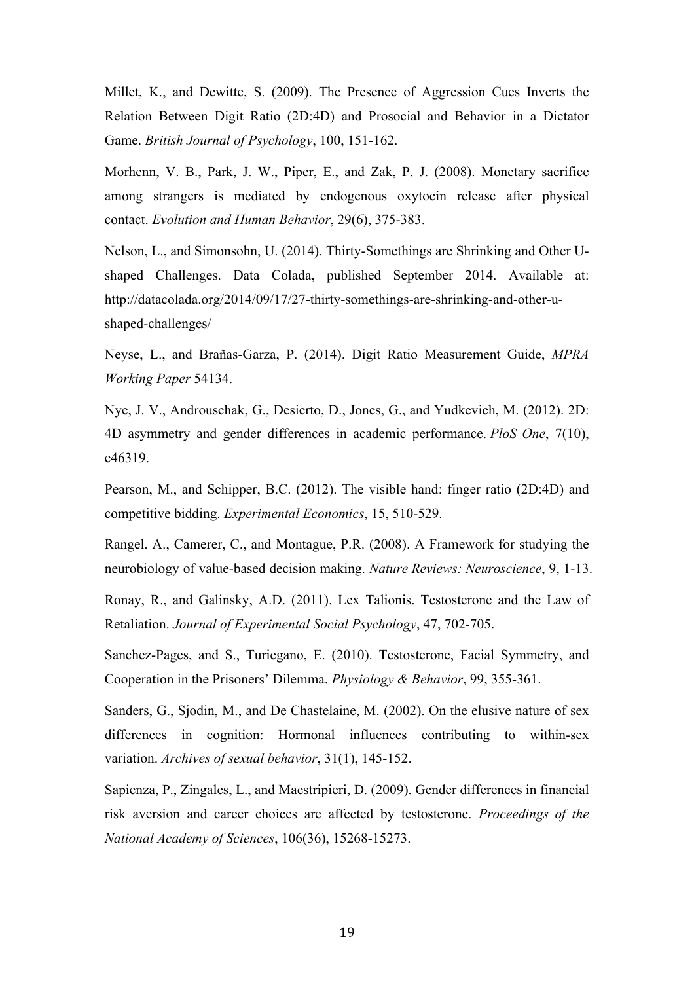Millet, K., and Dewitte, S. (2009). The Presence of Aggression Cues Inverts the Relation Between Digit Ratio (2D:4D) and Prosocial and Behavior in a Dictator Game. *British Journal of Psychology*, 100, 151-162.

Morhenn, V. B., Park, J. W., Piper, E., and Zak, P. J. (2008). Monetary sacrifice among strangers is mediated by endogenous oxytocin release after physical contact. *Evolution and Human Behavior*, 29(6), 375-383.

Nelson, L., and Simonsohn, U. (2014). Thirty-Somethings are Shrinking and Other Ushaped Challenges. Data Colada, published September 2014. Available at: http://datacolada.org/2014/09/17/27-thirty-somethings-are-shrinking-and-other-ushaped-challenges/

Neyse, L., and Brañas-Garza, P. (2014). Digit Ratio Measurement Guide, *MPRA Working Paper* 54134.

Nye, J. V., Androuschak, G., Desierto, D., Jones, G., and Yudkevich, M. (2012). 2D: 4D asymmetry and gender differences in academic performance. *PloS One*, 7(10), e46319.

Pearson, M., and Schipper, B.C. (2012). The visible hand: finger ratio (2D:4D) and competitive bidding. *Experimental Economics*, 15, 510-529.

Rangel. A., Camerer, C., and Montague, P.R. (2008). A Framework for studying the neurobiology of value-based decision making. *Nature Reviews: Neuroscience*, 9, 1-13.

Ronay, R., and Galinsky, A.D. (2011). Lex Talionis. Testosterone and the Law of Retaliation. *Journal of Experimental Social Psychology*, 47, 702-705.

Sanchez-Pages, and S., Turiegano, E. (2010). Testosterone, Facial Symmetry, and Cooperation in the Prisoners' Dilemma. *Physiology & Behavior*, 99, 355-361.

Sanders, G., Sjodin, M., and De Chastelaine, M. (2002). On the elusive nature of sex differences in cognition: Hormonal influences contributing to within-sex variation. *Archives of sexual behavior*, 31(1), 145-152.

Sapienza, P., Zingales, L., and Maestripieri, D. (2009). Gender differences in financial risk aversion and career choices are affected by testosterone. *Proceedings of the National Academy of Sciences*, 106(36), 15268-15273.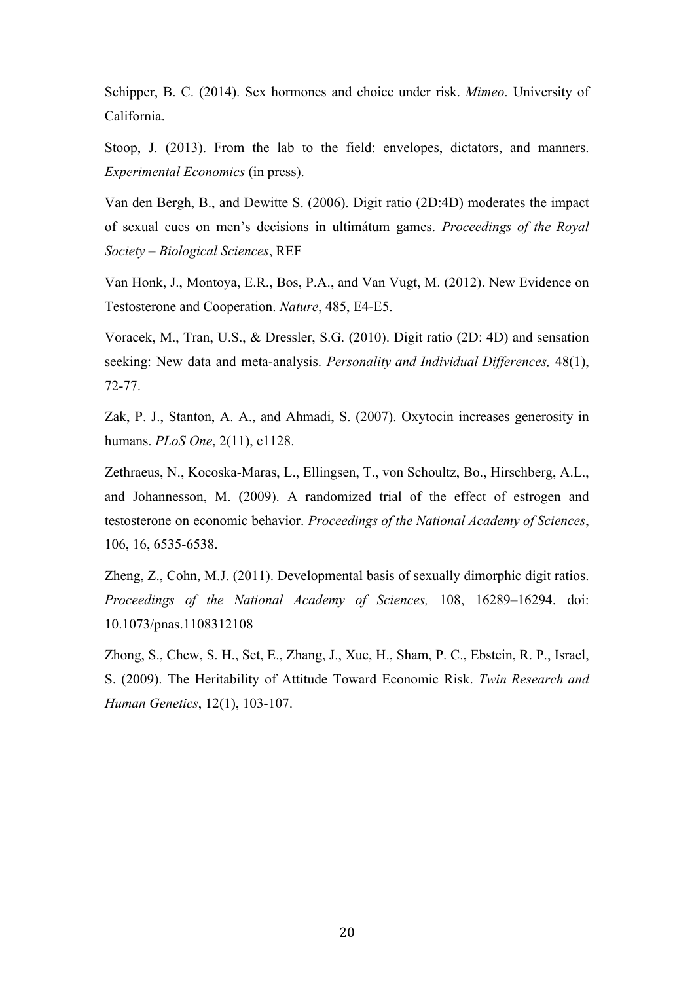Schipper, B. C. (2014). Sex hormones and choice under risk. *Mimeo*. University of California.

Stoop, J. (2013). From the lab to the field: envelopes, dictators, and manners. *Experimental Economics* (in press).

Van den Bergh, B., and Dewitte S. (2006). Digit ratio (2D:4D) moderates the impact of sexual cues on men's decisions in ultimátum games. *Proceedings of the Royal Society – Biological Sciences*, REF

Van Honk, J., Montoya, E.R., Bos, P.A., and Van Vugt, M. (2012). New Evidence on Testosterone and Cooperation. *Nature*, 485, E4-E5.

Voracek, M., Tran, U.S., & Dressler, S.G. (2010). Digit ratio (2D: 4D) and sensation seeking: New data and meta-analysis. *Personality and Individual Differences,* 48(1), 72-77.

Zak, P. J., Stanton, A. A., and Ahmadi, S. (2007). Oxytocin increases generosity in humans. *PLoS One*, 2(11), e1128.

Zethraeus, N., Kocoska-Maras, L., Ellingsen, T., von Schoultz, Bo., Hirschberg, A.L., and Johannesson, M. (2009). A randomized trial of the effect of estrogen and testosterone on economic behavior. *Proceedings of the National Academy of Sciences*, 106, 16, 6535-6538.

Zheng, Z., Cohn, M.J. (2011). Developmental basis of sexually dimorphic digit ratios. *Proceedings of the National Academy of Sciences,* 108, 16289–16294. doi: 10.1073/pnas.1108312108

Zhong, S., Chew, S. H., Set, E., Zhang, J., Xue, H., Sham, P. C., Ebstein, R. P., Israel, S. (2009). The Heritability of Attitude Toward Economic Risk. *Twin Research and Human Genetics*, 12(1), 103-107.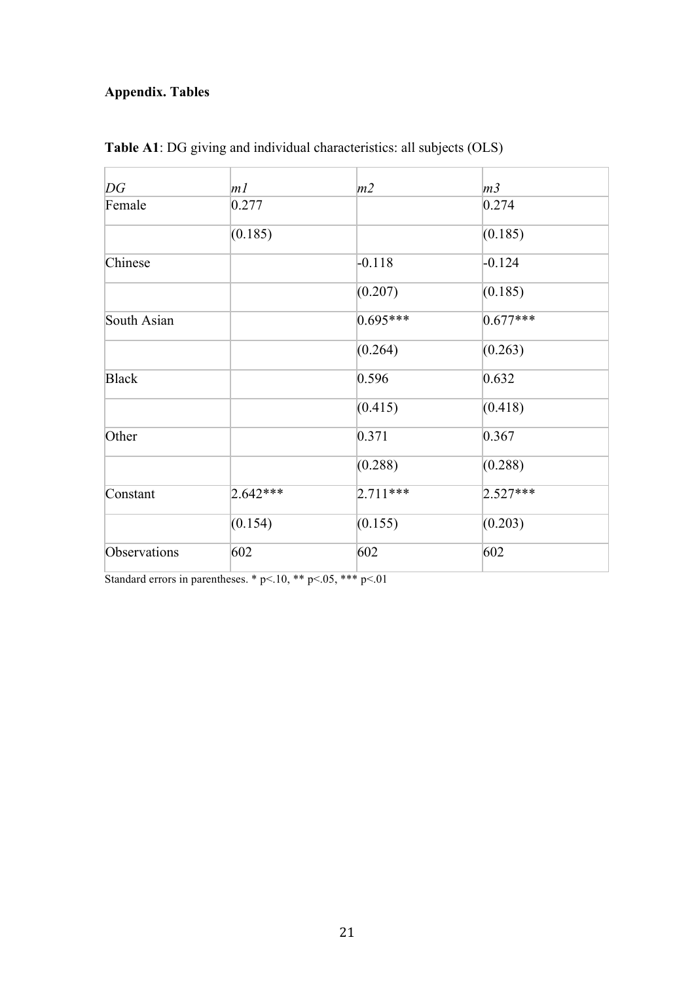### **Appendix. Tables**

| DG           | m <sub>l</sub> | m2         | m <sub>3</sub> |
|--------------|----------------|------------|----------------|
| Female       | 0.277          |            | 0.274          |
|              | (0.185)        |            | (0.185)        |
| Chinese      |                | $-0.118$   | $-0.124$       |
|              |                | (0.207)    | (0.185)        |
| South Asian  |                | $0.695***$ | $0.677***$     |
|              |                | (0.264)    | (0.263)        |
| <b>Black</b> |                | 0.596      | 0.632          |
|              |                | (0.415)    | (0.418)        |
| Other        |                | 0.371      | 0.367          |
|              |                | (0.288)    | (0.288)        |
| Constant     | $2.642***$     | $2.711***$ | $2.527***$     |
|              | (0.154)        | (0.155)    | (0.203)        |
| Observations | 602            | 602        | 602            |

**Table A1**: DG giving and individual characteristics: all subjects (OLS)

Standard errors in parentheses. \*  $p<10$ , \*\*  $p<0.05$ , \*\*\*  $p<0.1$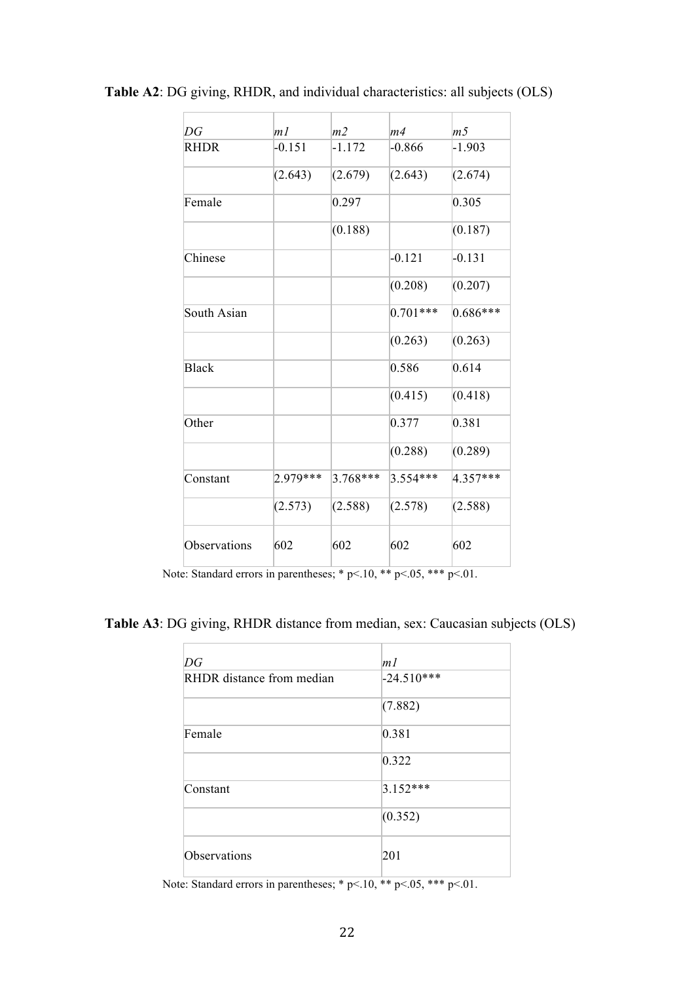| DG           | m <sub>l</sub> | m <sub>2</sub> | m4         | m <sub>5</sub> |
|--------------|----------------|----------------|------------|----------------|
| <b>RHDR</b>  | $-0.151$       | $-1.172$       | $-0.866$   | $-1.903$       |
|              | (2.643)        | (2.679)        | (2.643)    | (2.674)        |
| Female       |                | 0.297          |            | 0.305          |
|              |                | (0.188)        |            | (0.187)        |
| Chinese      |                |                | $-0.121$   | $-0.131$       |
|              |                |                | (0.208)    | (0.207)        |
| South Asian  |                |                | $0.701***$ | $0.686***$     |
|              |                |                | (0.263)    | (0.263)        |
| <b>Black</b> |                |                | 0.586      | 0.614          |
|              |                |                | (0.415)    | (0.418)        |
| Other        |                |                | 0.377      | 0.381          |
|              |                |                | (0.288)    | (0.289)        |
| Constant     | 2.979***       | $3.768***$     | $3.554***$ | 4.357***       |
|              | (2.573)        | (2.588)        | (2.578)    | (2.588)        |
| Observations | 602            | 602            | 602        | 602            |

**Table A2**: DG giving, RHDR, and individual characteristics: all subjects (OLS)

Note: Standard errors in parentheses; \*  $p<10$ , \*\*  $p<0.05$ , \*\*\*  $p<01$ .

**Table A3**: DG giving, RHDR distance from median, sex: Caucasian subjects (OLS)

| DG                        | m <sub>l</sub> |
|---------------------------|----------------|
| RHDR distance from median | $-24.510***$   |
|                           | (7.882)        |
| Female                    | 0.381          |
|                           | 0.322          |
| Constant                  | $3.152***$     |
|                           | (0.352)        |
| Observations              | 201            |

Note: Standard errors in parentheses; \*  $p<0.10$ , \*\*  $p<0.05$ , \*\*\*  $p<0.01$ .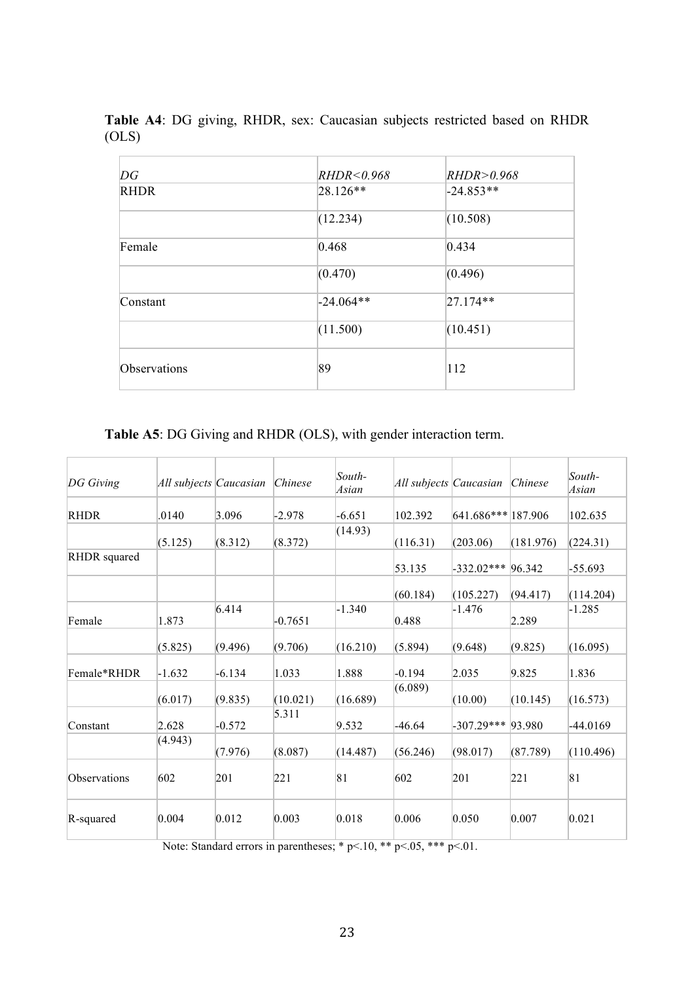| DG           | RHDR<0.968  | RHDR > 0.968 |
|--------------|-------------|--------------|
| <b>RHDR</b>  | $28.126**$  | $-24.853**$  |
|              | (12.234)    | (10.508)     |
| Female       | 0.468       | 0.434        |
|              | (0.470)     | (0.496)      |
| Constant     | $-24.064**$ | $27.174**$   |
|              | (11.500)    | (10.451)     |
| Observations | 89          | 112          |

**Table A4**: DG giving, RHDR, sex: Caucasian subjects restricted based on RHDR (OLS)

**Table A5**: DG Giving and RHDR (OLS), with gender interaction term.

| $DG$ Giving  | All subjects Caucasian |          | Chinese   | $South-$<br>Asian | All subjects Caucasian |                     | Chinese   | $South-$<br>Asian |
|--------------|------------------------|----------|-----------|-------------------|------------------------|---------------------|-----------|-------------------|
| <b>RHDR</b>  | .0140                  | 3.096    | $-2.978$  | $-6.651$          | 102.392                | 641.686*** 187.906  |           | 102.635           |
|              | (5.125)                | (8.312)  | (8.372)   | (14.93)           | (116.31)               | (203.06)            | (181.976) | (224.31)          |
| RHDR squared |                        |          |           |                   | 53.135                 | $-332.02***$ 96.342 |           | $-55.693$         |
|              |                        |          |           |                   | (60.184)               | (105.227)           | (94.417)  | (114.204)         |
| Female       | 1.873                  | 6.414    | $-0.7651$ | $-1.340$          | 0.488                  | $-1.476$            | 2.289     | $-1.285$          |
|              | (5.825)                | (9.496)  | (9.706)   | (16.210)          | (5.894)                | (9.648)             | (9.825)   | (16.095)          |
| Female*RHDR  | $-1.632$               | $-6.134$ | 1.033     | 1.888             | $-0.194$               | 2.035               | 9.825     | 1.836             |
|              | (6.017)                | (9.835)  | (10.021)  | (16.689)          | (6.089)                | (10.00)             | (10.145)  | (16.573)          |
| Constant     | 2.628                  | $-0.572$ | 5.311     | 9.532             | $-46.64$               | $-307.29***$ 93.980 |           | $-44.0169$        |
|              | (4.943)                | (7.976)  | (8.087)   | (14.487)          | (56.246)               | (98.017)            | (87.789)  | (110.496)         |
| Observations | 602                    | 201      | 221       | 81                | 602                    | 201                 | 221       | 81                |
| R-squared    | 0.004                  | 0.012    | 0.003     | 0.018             | 0.006                  | 0.050               | 0.007     | 0.021             |

Note: Standard errors in parentheses; \* p<.10, \*\* p<.05, \*\*\* p<.01.